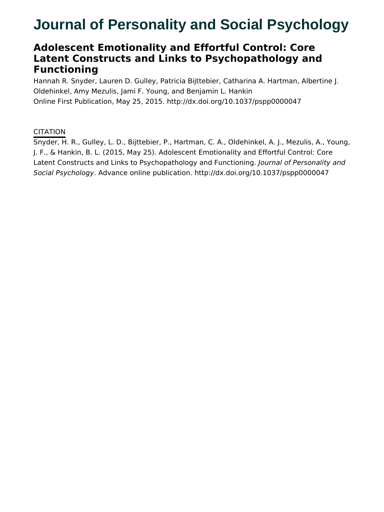# **Journal of Personality and Social Psychology**

# **Adolescent Emotionality and Effortful Control: Core Latent Constructs and Links to Psychopathology and Functioning**

Hannah R. Snyder, Lauren D. Gulley, Patricia Bijttebier, Catharina A. Hartman, Albertine J. Oldehinkel, Amy Mezulis, Jami F. Young, and Benjamin L. Hankin Online First Publication, May 25, 2015. http://dx.doi.org/10.1037/pspp0000047

# **CITATION**

Snyder, H. R., Gulley, L. D., Bijttebier, P., Hartman, C. A., Oldehinkel, A. J., Mezulis, A., Young, J. F., & Hankin, B. L. (2015, May 25). Adolescent Emotionality and Effortful Control: Core Latent Constructs and Links to Psychopathology and Functioning. Journal of Personality and Social Psychology. Advance online publication. http://dx.doi.org/10.1037/pspp0000047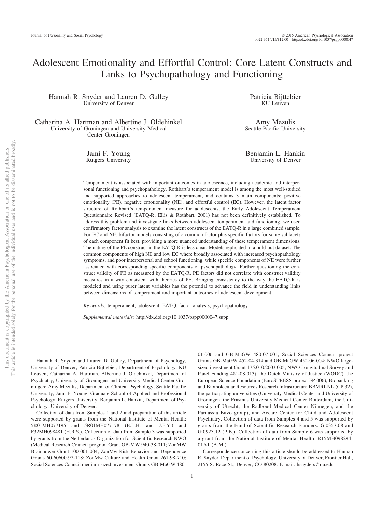# Adolescent Emotionality and Effortful Control: Core Latent Constructs and Links to Psychopathology and Functioning

Hannah R. Snyder and Lauren D. Gulley University of Denver

Catharina A. Hartman and Albertine J. Oldehinkel University of Groningen and University Medical Center Groningen

> Jami F. Young Rutgers University

Patricia Bijttebier KU Leuven

Amy Mezulis Seattle Pacific University

Benjamin L. Hankin University of Denver

Temperament is associated with important outcomes in adolescence, including academic and interpersonal functioning and psychopathology. Rothbart's temperament model is among the most well-studied and supported approaches to adolescent temperament, and contains 3 main components: positive emotionality (PE), negative emotionality (NE), and effortful control (EC). However, the latent factor structure of Rothbart's temperament measure for adolescents, the Early Adolescent Temperament Questionnaire Revised (EATQ-R; Ellis & Rothbart, 2001) has not been definitively established. To address this problem and investigate links between adolescent temperament and functioning, we used confirmatory factor analysis to examine the latent constructs of the EATQ-R in a large combined sample. For EC and NE, bifactor models consisting of a common factor plus specific factors for some subfacets of each component fit best, providing a more nuanced understanding of these temperament dimensions. The nature of the PE construct in the EATQ-R is less clear. Models replicated in a hold-out dataset. The common components of high NE and low EC where broadly associated with increased psychopathology symptoms, and poor interpersonal and school functioning, while specific components of NE were further associated with corresponding specific components of psychopathology. Further questioning the construct validity of PE as measured by the EATQ-R, PE factors did not correlate with construct validity measures in a way consistent with theories of PE. Bringing consistency to the way the EATQ-R is modeled and using purer latent variables has the potential to advance the field in understanding links between dimensions of temperament and important outcomes of adolescent development.

*Keywords:* temperament, adolescent, EATQ, factor analysis, psychopathology

*Supplemental materials:* http://dx.doi.org/10.1037/pspp0000047.supp

Hannah R. Snyder and Lauren D. Gulley, Department of Psychology, University of Denver; Patricia Bijttebier, Department of Psychology, KU Leuven; Catharina A. Hartman, Albertine J. Oldehinkel, Department of Psychiatry, University of Groningen and University Medical Center Groningen; Amy Mezulis, Department of Clinical Psychology, Seattle Pacific University; Jami F. Young, Graduate School of Applied and Professional Psychology, Rutgers University; Benjamin L. Hankin, Department of Psychology, University of Denver.

Collection of data from Samples 1 and 2 and preparation of this article were supported by grants from the National Institute of Mental Health: 5R01MH077195 and 5R01MH077178 (B.L.H. and J.F.Y.) and F32MH098481 (H.R.S.). Collection of data from Sample 3 was supported by grants from the Netherlands Organization for Scientific Research NWO (Medical Research Council program Grant GB-MW 940-38-011; ZonMW Brainpower Grant 100-001-004; ZonMw Risk Behavior and Dependence Grants 60-60600-97-118; ZonMw Culture and Health Grant 261-98-710; Social Sciences Council medium-sized investment Grants GB-MaGW 480-

01-006 and GB-MaGW 480-07-001; Social Sciences Council project Grants GB-MaGW 452-04-314 and GB-MaGW 452-06-004; NWO largesized investment Grant 175.010.2003.005; NWO Longitudinal Survey and Panel Funding 481-08-013), the Dutch Ministry of Justice (WODC), the European Science Foundation (EuroSTRESS project FP-006), Biobanking and Biomolecular Resources Research Infrastructure BBMRI-NL (CP 32), the participating universities (University Medical Center and University of Groningen, the Erasmus University Medical Center Rotterdam, the University of Utrecht, the Radboud Medical Center Nijmegen, and the Parnassia Bavo group), and Accare Center for Child and Adolescent Psychiatry. Collection of data from Samples 4 and 5 was supported by grants from the Fund of Scientific Research-Flanders: G.0357.08 and G.0923.12 (P.B.). Collection of data from Sample 6 was supported by a grant from the National Institute of Mental Health: R15MH098294- 01A1 (A.M.).

Correspondence concerning this article should be addressed to Hannah R. Snyder, Department of Psychology, University of Denver, Frontier Hall, 2155 S. Race St., Denver, CO 80208. E-mail: hsnyders@du.edu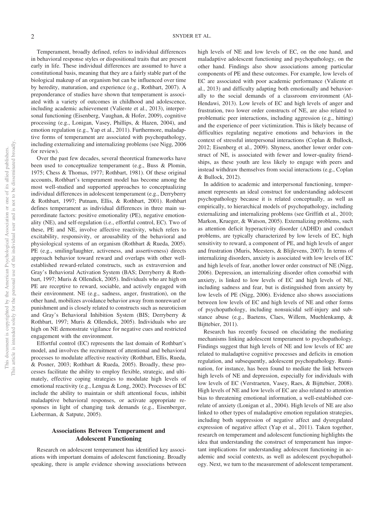Temperament, broadly defined, refers to individual differences in behavioral response styles or dispositional traits that are present early in life. These individual differences are assumed to have a constitutional basis, meaning that they are a fairly stable part of the biological makeup of an organism but can be influenced over time by heredity, maturation, and experience (e.g., Rothbart, 2007). A preponderance of studies have shown that temperament is associated with a variety of outcomes in childhood and adolescence, including academic achievement (Valiente et al., 2013), interpersonal functioning (Eisenberg, Vaughan, & Hofer, 2009), cognitive processing (e.g., Lonigan, Vasey, Phillips, & Hazen, 2004), and emotion regulation (e.g., Yap et al., 2011). Furthermore, maladaptive forms of temperament are associated with psychopathology, including externalizing and internalizing problems (see Nigg, 2006 for review).

Over the past few decades, several theoretical frameworks have been used to conceptualize temperament (e.g., Buss & Plomin, 1975; Chess & Thomas, 1977; Rothbart, 1981). Of these original accounts, Rothbart's temperament model has become among the most well-studied and supported approaches to conceptualizing individual differences in adolescent temperament (e.g., Derryberry & Rothbart, 1997; Putnam, Ellis, & Rothbart, 2001). Rothbart defines temperament as individual differences in three main superordinate factors: positive emotionality (PE), negative emotionality (NE), and self-regulation (i.e., effortful control, EC). Two of these, PE and NE, involve affective reactivity, which refers to excitability, responsivity, or arousability of the behavioral and physiological systems of an organism (Rothbart & Rueda, 2005). PE (e.g., smiling/laughter, activeness, and assertiveness) directs approach behavior toward reward and overlaps with other wellestablished reward-related constructs, such as extraversion and Gray's Behavioral Activation System (BAS; Derryberry & Rothbart, 1997; Muris & Ollendick, 2005). Individuals who are high on PE are receptive to reward, sociable, and actively engaged with their environment. NE (e.g., sadness, anger, frustration), on the other hand, mobilizes avoidance behavior away from nonreward or punishment and is closely related to constructs such as neuroticism and Gray's Behavioral Inhibition System (BIS; Derryberry & Rothbart, 1997; Muris & Ollendick, 2005). Individuals who are high on NE demonstrate vigilance for negative cues and restricted engagement with the environment.

Effortful control (EC) represents the last domain of Rothbart's model, and involves the recruitment of attentional and behavioral processes to modulate affective reactivity (Rothbart, Ellis, Rueda, & Posner, 2003; Rothbart & Rueda, 2005). Broadly, these processes facilitate the ability to employ flexible, strategic, and ultimately, effective coping strategies to modulate high levels of emotional reactivity (e.g., Lengua & Long, 2002). Processes of EC include the ability to maintain or shift attentional focus, inhibit maladaptive behavioral responses, or activate appropriate responses in light of changing task demands (e.g., Eisenberger, Lieberman, & Satpute, 2005).

## **Associations Between Temperament and Adolescent Functioning**

Research on adolescent temperament has identified key associations with important domains of adolescent functioning. Broadly speaking, there is ample evidence showing associations between high levels of NE and low levels of EC, on the one hand, and maladaptive adolescent functioning and psychopathology, on the other hand. Findings also show associations among particular components of PE and these outcomes. For example, low levels of EC are associated with poor academic performance (Valiente et al., 2013) and difficulty adapting both emotionally and behaviorally to the social demands of a classroom environment (Al-Hendawi, 2013). Low levels of EC and high levels of anger and frustration, two lower order constructs of NE, are also related to problematic peer interactions, including aggression (e.g., hitting) and the experience of peer victimization. This is likely because of difficulties regulating negative emotions and behaviors in the context of stressful interpersonal interactions (Coplan & Bullock, 2012; Eisenberg et al., 2009). Shyness, another lower order construct of NE, is associated with fewer and lower-quality friendships, as these youth are less likely to engage with peers and instead withdraw themselves from social interactions (e.g., Coplan & Bullock, 2012).

In addition to academic and interpersonal functioning, temperament represents an ideal construct for understanding adolescent psychopathology because it is related conceptually, as well as empirically, to hierarchical models of psychopathology, including externalizing and internalizing problems (see Griffith et al., 2010; Markon, Krueger, & Watson, 2005). Externalizing problems, such as attention deficit hyperactivity disorder (ADHD) and conduct problems, are typically characterized by low levels of EC, high sensitivity to reward, a component of PE, and high levels of anger and frustration (Muris, Meesters, & Blijlevens, 2007). In terms of internalizing disorders, anxiety is associated with low levels of EC and high levels of fear, another lower order construct of NE (Nigg, 2006). Depression, an internalizing disorder often comorbid with anxiety, is linked to low levels of EC and high levels of NE, including sadness and fear, but is distinguished from anxiety by low levels of PE (Nigg, 2006). Evidence also shows associations between low levels of EC and high levels of NE and other forms of psychopathology, including nonsuicidal self-injury and substance abuse (e.g., Baetens, Claes, Willem, Muehlenkamp, & Bijttebier, 2011).

Research has recently focused on elucidating the mediating mechanisms linking adolescent temperament to psychopathology. Findings suggest that high levels of NE and low levels of EC are related to maladaptive cognitive processes and deficits in emotion regulation, and subsequently, adolescent psychopathology. Rumination, for instance, has been found to mediate the link between high levels of NE and depression, especially for individuals with low levels of EC (Verstraeten, Vasey, Raes, & Bijttebier, 2008). High levels of NE and low levels of EC are also related to attention bias to threatening emotional information, a well-established correlate of anxiety (Lonigan et al., 2004). High levels of NE are also linked to other types of maladaptive emotion regulation strategies, including both suppression of negative affect and dysregulated expression of negative affect (Yap et al., 2011). Taken together, research on temperament and adolescent functioning highlights the idea that understanding the construct of temperament has important implications for understanding adolescent functioning in academic and social contexts, as well as adolescent psychopathology. Next, we turn to the measurement of adolescent temperament.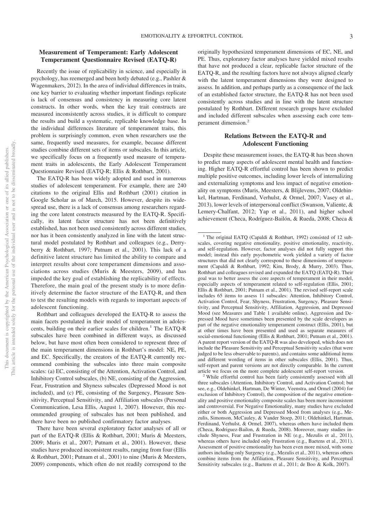# **Measurement of Temperament: Early Adolescent Temperament Questionnaire Revised (EATQ-R)**

Recently the issue of replicability in science, and especially in psychology, has reemerged and been hotly debated (e.g., Pashler & Wagenmakers, 2012). In the area of individual differences in traits, one key barrier to evaluating whether important findings replicate is lack of consensus and consistency in measuring core latent constructs. In other words, when the key trait constructs are measured inconsistently across studies, it is difficult to compare the results and build a systematic, replicable knowledge base. In the individual differences literature of temperament traits, this problem is surprisingly common, even when researchers use the same, frequently used measures, for example, because different studies combine different sets of items or subscales. In this article, we specifically focus on a frequently used measure of temperament traits in adolescents, the Early Adolescent Temperament Questionnaire Revised (EATQ-R; Ellis & Rothbart, 2001).

The EATQ-R has been widely adopted and used in numerous studies of adolescent temperament. For example, there are 240 citations to the original Ellis and Rothbart (2001) citation in Google Scholar as of March, 2015. However, despite its widespread use, there is a lack of consensus among researchers regarding the core latent constructs measured by the EATQ-R. Specifically, its latent factor structure has not been definitively established, has not been used consistently across different studies, nor has it been consistently analyzed in line with the latent structural model postulated by Rothbart and colleagues (e.g., Derryberry & Rothbart, 1997; Putnam et al., 2001). This lack of a definitive latent structure has limited the ability to compare and interpret results about core temperament dimensions and associations across studies (Muris & Meesters, 2009), and has impeded the key goal of establishing the replicability of effects. Therefore, the main goal of the present study is to more definitively determine the factor structure of the EATQ-R, and then to test the resulting models with regards to important aspects of adolescent functioning.

Rothbart and colleagues developed the EATQ-R to assess the main facets postulated in their model of temperament in adolescents, building on their earlier scales for children.<sup>1</sup> The EATQ-R subscales have been combined in different ways, as discussed below, but have most often been considered to represent three of the main temperament dimensions in Rothbart's model: NE, PE, and EC. Specifically, the creators of the EATQ-R currently recommend combining the subscales into three main composite scales: (a) EC, consisting of the Attention, Activation Control, and Inhibitory Control subscales, (b) NE, consisting of the Aggression, Fear, Frustration and Shyness subscales (Depressed Mood is not included), and (c) PE, consisting of the Surgency, Pleasure Sensitivity, Perceptual Sensitivity, and Affiliation subscales (Personal Communication, Lesa Ellis, August 1, 2007). However, this recommended grouping of subscales has not been published, and there have been no published confirmatory factor analyses.

There have been several exploratory factor analyses of all or part of the EATQ-R (Ellis & Rothbart, 2001; Muris & Meesters, 2009; Muris et al., 2007; Putnam et al., 2001). However, these studies have produced inconsistent results, ranging from four (Ellis & Rothbart, 2001; Putnam et al., 2001) to nine (Muris & Meesters, 2009) components, which often do not readily correspond to the originally hypothesized temperament dimensions of EC, NE, and PE. Thus, exploratory factor analyses have yielded mixed results that have not produced a clear, replicable factor structure of the EATQ-R, and the resulting factors have not always aligned clearly with the latent temperament dimensions they were designed to assess. In addition, and perhaps partly as a consequence of the lack of an established factor structure, the EATQ-R has not been used consistently across studies and in line with the latent structure postulated by Rothbart. Different research groups have excluded and included different subscales when assessing each core temperament dimension.2

## **Relations Between the EATQ-R and Adolescent Functioning**

Despite these measurement issues, the EATQ-R has been shown to predict many aspects of adolescent mental health and functioning. Higher EATQ-R effortful control has been shown to predict multiple positive outcomes, including lower levels of internalizing and externalizing symptoms and less impact of negative emotionality on symptoms (Muris, Meesters, & Blijlevens, 2007; Oldehinkel, Hartman, Ferdinand, Verhulst, & Ormel, 2007; Vasey et al., 2013), lower levels of interpersonal conflict (Swanson, Valiente, & Lemery-Chalfant, 2012; Yap et al., 2011), and higher school achievement (Checa, Rodríguez-Bailón, & Rueda, 2008; Checa &

three subscales (Attention, Inhibitory Control, and Activation Control; but see, e.g., Oldehinkel, Hartman, De Winter, Veenstra, and Ormel (2004) for exclusion of Inhibitory Control), the composition of the negative emotionality and positive emotionality composite scales has been more inconsistent and controversial. For Negative Emotionality, many studies have excluded either or both Aggression and Depressed Mood from analyses (e.g., Mezulis, Simonson, McCauley, & Vander Stoep, 2011; Oldehinkel, Hartman, Ferdinand, Verhulst, & Ormel, 2007), whereas others have included them (Checa, Rodriguez-Bailon, & Rueda, 2008). Moreover, many studies include Shyness, Fear and Frustration in NE (e.g., Mezulis et al., 2011), whereas others have included only Frustration (e.g., Baetens et al., 2011). Assessment of positive emotionality has been even more mixed, with some authors including only Surgency (e.g., Mezulis et al., 2011), whereas others combine items from the Affiliation, Pleasure Sensitivity, and Perceptual Sensitivity subscales (e.g., Baetens et al., 2011; de Boo & Kolk, 2007).

<sup>&</sup>lt;sup>1</sup> The original EATQ (Capaldi & Rothbart, 1992) consisted of 12 subscales, covering negative emotionality, positive emotionality, reactivity, and self-regulation. However, factor analyses did not fully support this model; instead this early psychometric work yielded a variety of factor structures that did not clearly correspond to these dimensions of temperament (Capaldi & Rothbart, 1992; Kim, Brody, & Murry, 2003). Thus, Rothbart and colleagues revised and expanded the EATQ (EATQ-R). Their goal was to better assess the core aspects of temperament in their model, especially aspects of temperament related to self-regulation (Ellis, 2001; Ellis & Rothbart, 2001; Putnam et al., 2001). The revised self-report scale includes 65 items to assess 11 subscales: Attention, Inhibitory Control, Activation Control, Fear, Shyness, Frustration, Surgency, Pleasure Sensitivity, and Perceptual Sensitivity, Affiliation, Aggression, and Depressed Mood (see Measures and Table 1 available online). Aggression and Depressed Mood have sometimes been presented by the scale developers as part of the negative emotionality temperament construct (Ellis, 2001), but at other times have been presented and used as separate measures of social-emotional functioning (Ellis & Rothbart, 2001; Putnam et al., 2001). A parent report version of the EATQ-R was also developed, which does not include the Pleasure Sensitivity and Perceptual Sensitivity scales (that were judged to be less observable to parents), and contains some additional items and different wording of items in other subscales (Ellis, 2001). Thus, self-report and parent versions are not directly comparable. In the current article we focus on the more complete adolescent self-report version.<br><sup>2</sup> While effortful control has been fairly consistently assessed with all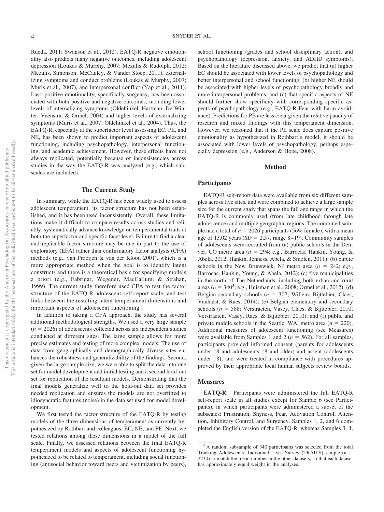Rueda, 2011; Swanson et al., 2012). EATQ-R negative emotionality also predicts many negative outcomes, including adolescent depression (Loukas & Murphy, 2007; Mezulis & Rudolph, 2012; Mezulis, Simonson, McCauley, & Vander Stoep, 2011), externalizing symptoms and conduct problems (Loukas & Murphy, 2007; Muris et al., 2007), and interpersonal conflict (Yap et al., 2011). Last, positive emotionality, specifically surgency, has been associated with both positive and negative outcomes, including lower levels of internalizing symptoms (Oldehinkel, Hartman, De Winter, Veenstra, & Ormel, 2004) and higher levels of externalizing symptoms (Muris et al., 2007; Oldehinkel et al., 2004). Thus, the EATQ-R, especially at the superfactor level assessing EC, PE, and NE, has been shown to predict important aspects of adolescent functioning, including psychopathology, interpersonal functioning, and academic achievement. However, these effects have not always replicated, potentially because of inconsistencies across studies in the way the EATQ-R was analyzed (e.g., which subscales are included).

#### **The Current Study**

In summary, while the EATQ-R has been widely used to assess adolescent temperament, its factor structure has not been established, and it has been used inconsistently. Overall, these limitations make it difficult to compare results across studies and reliably, systematically advance knowledge on temperamental traits at both the superfactor and specific facet level. Failure to find a clear and replicable factor structure may be due in part to the use of exploratory (EFA) rather than confirmatory factor analysis (CFA) methods (e.g., van Prooijen & van der Kloot, 2001), which is a more appropriate method when the goal is to identify latent constructs and there is a theoretical basis for specifying models a priori (e.g., Fabrigar, Wegener, MacCallum, & Strahan, 1999). The current study therefore used CFA to test the factor structure of the EATQ-R adolescent self-report scale, and test links between the resulting latent temperament dimensions and important aspects of adolescent functioning.

In addition to taking a CFA approach, the study has several additional methodological strengths. We used a very large sample  $(n = 2026)$  of adolescents collected across six independent studies conducted at different sites. The large sample allows for more precise estimates and testing of more complex models. The use of data from geographically and demographically diverse sites enhances the robustness and generalizability of the findings. Second, given the large sample size, we were able to split the data into one set for model development and initial testing and a second hold-out set for replication of the resultant models. Demonstrating that the final models generalize well to the hold-out data set provides needed replication and ensures the models are not overfitted to idiosyncratic features (noise) in the data set used for model development.

We first tested the factor structure of the EATQ-R by testing models of the three dimensions of temperament as currently hypothesized by Rothbart and colleagues: EC, NE, and PE. Next, we tested relations among these dimensions in a model of the full scale. Finally, we assessed relations between the final EATQ-R temperament models and aspects of adolescent functioning hypothesized to be related to temperament, including social functioning (antisocial behavior toward peers and victimization by peers), school functioning (grades and school disciplinary action), and psychopathology (depression, anxiety, and ADHD symptoms). Based on the literature discussed above, we predict that (a) higher EC should be associated with lower levels of psychopathology and better interpersonal and school functioning, (b) higher NE should be associated with higher levels of psychopathology broadly and more interpersonal problems, and (c) that specific aspects of NE should further show specificity with corresponding specific aspects of psychopathology (e.g., EATQ-R Fear with harm avoidance). Predictions for PE are less clear given the relative paucity of research and mixed findings with this temperament dimension. However, we reasoned that if the PE scale does capture positive emotionality as hypothesized in Rothbart's model, it should be associated with lower levels of psychopathology, perhaps especially depression (e.g., Anderson & Hope, 2008).

#### **Method**

#### **Participants**

EATQ-R self-report data were available from six different samples across five sites, and were combined to achieve a large sample size for the current study that spans the full age range in which the EATQ-R is commonly used (from late childhood through late adolescence) and multiple geographic regions. The combined sample had a total of  $n = 2026$  participants (56% female), with a mean age of 13.02 years  $(SD = 2.57$ , range 8–19). Community samples of adolescents were recruited from (a) public schools in the Denver, CO metro area ( $n = 294$ ; e.g., Barrocas, Hankin, Young, & Abela, 2012; Hankin, Jenness, Abela, & Smolen, 2011); (b) public schools in the New Brunswick, NJ metro area  $(n = 242; e.g.,$ Barrocas, Hankin, Young, & Abela, 2012); (c) five municipalities in the north of The Netherlands, including both urban and rural areas ( $n = 340^3$ ; e.g., Huisman et al., 2008; Ormel et al., 2012); (d) Belgian secondary schools  $(n = 307;$  Willem, Bijttebier, Claes, Vanhalst, & Raes, 2014); (e) Belgian elementary and secondary schools (*n* = 588; Verstraeten, Vasey, Claes, & Bijttebier, 2010; Verstraeten, Vasey, Raes, & Bijttebier, 2010); and (f) public and private middle schools in the Seattle, WA, metro area  $(n = 220)$ . Additional measures of adolescent functioning (see Measures) were available from Samples 1 and 2 ( $n = 562$ ). For all samples, participants provided informed consent (parents for adolescents under 18 and adolescents 18 and older) and assent (adolescents under 18), and were treated in compliance with procedures approved by their appropriate local human subjects review boards.

#### **Measures**

**EATQ-R.** Participants were administered the full EATQ-R self-report scale in all studies except for Sample 6 (see Participants), in which participants were administered a subset of the subscales: Frustration, Shyness, Fear, Activation Control, Attention, Inhibitory Control, and Surgency. Samples 1, 2, and 6 completed the English version of the EATQ-R, whereas Samples 3, 4,

<sup>&</sup>lt;sup>3</sup> A random subsample of 340 participants was selected from the total Tracking Adolescents' Individual Lives Survey (TRAILS) sample (*n* - 2230) to match the mean number in the other datasets, so that each dataset has approximately equal weight in the analyses.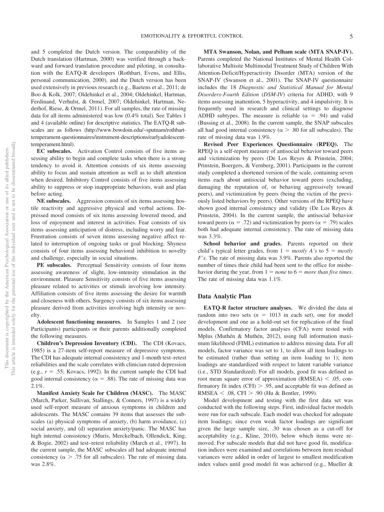and 5 completed the Dutch version. The comparability of the Dutch translation (Hartman, 2000) was verified through a backward and forward translation procedure and piloting, in consultation with the EATQ-R developers (Rothbart, Evens, and Ellis, personal communication, 2000), and the Dutch version has been used extensively in previous research (e.g., Baetens et al., 2011; de Boo & Kolk, 2007; Oldehinkel et al., 2004; Oldehinkel, Hartman, Ferdinand, Verhulst, & Ormel, 2007; Oldehinkel, Hartman, Nederhof, Riese, & Ormel, 2011). For all samples, the rate of missing data for all items administered was low (0.4% total). See Tables 1 and 4 (available online) for descriptive statistics. The EATQ-R subscales are as follows (http://www.bowdoin.edu/~sputnam/rothbarttemperament-questionnaires/instrument-descriptions/earlyadolescenttemperament.html).

**EC subscales.** Activation Control consists of five items assessing ability to begin and complete tasks when there is a strong tendency to avoid it. Attention consists of six items assessing ability to focus and sustain attention as well as to shift attention when desired. Inhibitory Control consists of five items assessing ability to suppress or stop inappropriate behaviors, wait and plan before acting.

**NE subscales.** Aggression consists of six items assessing hostile reactivity and aggressive physical and verbal actions. Depressed mood consists of six items assessing lowered mood, and loss of enjoyment and interest in activities. Fear consists of six items assessing anticipation of distress, including worry and fear. Frustration consists of seven items assessing negative affect related to interruption of ongoing tasks or goal blocking. Shyness consists of four items assessing behavioral inhibition to novelty and challenge, especially in social situations.

**PE subscales.** Perceptual Sensitivity consists of four items assessing awareness of slight, low-intensity stimulation in the environment. Pleasure Sensitivity consists of five items assessing pleasure related to activities or stimuli involving low intensity. Affiliation consists of five items assessing the desire for warmth and closeness with others. Surgency consists of six items assessing pleasure derived from activities involving high intensity or novelty.

**Adolescent functioning measures.** In Samples 1 and 2 (see Participants) participants or their parents additionally completed the following measures.

**Children's Depression Inventory (CDI).** The CDI (Kovacs, 1985) is a 27-item self-report measure of depressive symptoms. The CDI has adequate internal consistency and 1-month test–retest reliabilities and the scale correlates with clinician-rated depression (e.g.,  $r = .55$ ; Kovacs, 1992). In the current sample the CDI had good internal consistency ( $\alpha = .88$ ). The rate of missing data was 2.1%.

**Manifest Anxiety Scale for Children (MASC).** The MASC (March, Parker, Sullivan, Stallings, & Conners, 1997) is a widely used self-report measure of anxious symptoms in children and adolescents. The MASC contains 39 items that assesses the subscales (a) physical symptoms of anxiety, (b) harm avoidance, (c) social anxiety, and (d) separation anxiety/panic. The MASC has high internal consistency (Muris, Merckelbach, Ollendick, King, & Bogie, 2002) and test–retest reliability (March et al., 1997). In the current sample, the MASC subscales all had adequate internal consistency ( $\alpha$  > .75 for all subscales). The rate of missing data was 2.8%.

**MTA Swanson, Nolan, and Pelham scale (MTA SNAP-IV).** Parents completed the National Institutes of Mental Health Collaborative Multisite Multimodal Treatment Study of Children With Attention-Deficit/Hyperactivity Disorder (MTA) version of the SNAP-IV (Swanson et al., 2001). The SNAP-IV questionnaire includes the 18 *Diagnostic and Statistical Manual for Mental Disorders-Fourth Edition* (*DSM-IV*) criteria for ADHD, with 9 items assessing inattention, 5 hyperactivity, and 4 impulsivity. It is frequently used in research and clinical settings to diagnose ADHD subtypes. The measure is reliable ( $\alpha = .94$ ) and valid (Bussing et al., 2008). In the current sample, the SNAP subscales all had good internal consistency ( $\alpha$  > .80 for all subscales). The rate of missing data was 1.9%.

**Revised Peer Experiences Questionnaire (RPEQ).** The RPEQ is a self-report measure of antisocial behavior toward peers and victimization by peers (De Los Reyes & Prinstein, 2004; Prinstein, Boergers, & Vernberg, 2001). Participants in the current study completed a shortened version of the scale, containing seven items each about antisocial behavior toward peers (excluding, damaging the reputation of, or behaving aggressively toward peers), and victimization by peers (being the victim of the previously listed behaviors by peers). Other versions of the RPEQ have shown good internal consistency and validity (De Los Reyes & Prinstein, 2004). In the current sample, the antisocial behavior toward peers ( $\alpha = .72$ ) and victimization by peers ( $\alpha = .79$ ) scales both had adequate internal consistency. The rate of missing data was 3.3%.

**School behavior and grades.** Parents reported on their child's typical letter grades, from  $1 = \text{mostly } A$ 's to  $5 = \text{mostly }$ *F's*. The rate of missing data was 3.9%. Parents also reported the number of times their child had been sent to the office for misbehavior during the year, from  $1 = none$  to  $6 = more than five times$ . The rate of missing data was 1.1%.

#### **Data Analytic Plan**

**EATQ-R factor structure analyses.** We divided the data at random into two sets  $(n = 1013$  in each set), one for model development and one as a hold-out set for replication of the final models. Confirmatory factor analyses (CFA) were tested with Mplus (Muthén & Muthén, 2012), using full information maximum likelihood (FIML) estimation to address missing data. For all models, factor variance was set to 1, to allow all item loadings to be estimated (rather than setting an item loading to 1); item loadings are standardized with respect to latent variable variance (i.e., STD Standardized). For all models, good fit was defined as root mean square error of approximation  $(RMSEA) < .05$ , confirmatory fit index (CFI)  $> .95$ , and acceptable fit was defined as RMSEA  $< .08$ , CFI  $> .90$  (Hu & Bentler, 1999).

Model development and testing with the first data set was conducted with the following steps. First, individual factor models were run for each subscale. Each model was checked for adequate item loadings; since even weak factor loadings are significant given the large sample size, .30 was chosen as a cut-off for acceptability (e.g., Kline, 2010), below which items were removed. For subscale models that did not have good fit, modification indices were examined and correlations between item residual variances were added in order of largest to smallest modification index values until good model fit was achieved (e.g., Mueller &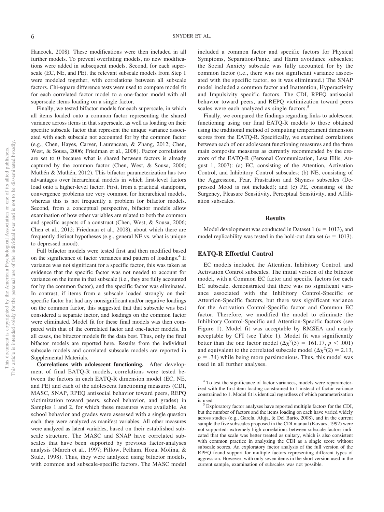Hancock, 2008). These modifications were then included in all further models. To prevent overfitting models, no new modifications were added in subsequent models. Second, for each superscale (EC, NE, and PE), the relevant subscale models from Step 1 were modeled together, with correlations between all subscale factors. Chi-square difference tests were used to compare model fit for each correlated factor model to a one-factor model with all superscale items loading on a single factor.

Finally, we tested bifactor models for each superscale, in which all items loaded onto a common factor representing the shared variance across items in that superscale, as well as loading on their specific subscale factor that represent the unique variance associated with each subscale not accounted for by the common factor (e.g., Chen, Hayes, Carver, Laurenceau, & Zhang, 2012; Chen, West, & Sousa, 2006; Friedman et al., 2008). Factor correlations are set to 0 because what is shared between factors is already captured by the common factor (Chen, West, & Sousa, 2006; Muthén & Muthén, 2012). This bifactor parameterization has two advantages over hierarchical models in which first-level factors load onto a higher-level factor. First, from a practical standpoint, convergence problems are very common for hierarchical models, whereas this is not frequently a problem for bifactor models. Second, from a conceptual perspective, bifactor models allow examination of how other variables are related to both the common and specific aspects of a construct (Chen, West, & Sousa, 2006; Chen et al., 2012; Friedman et al., 2008), about which there are frequently distinct hypotheses (e.g., general NE vs. what is unique to depressed mood).

Full bifactor models were tested first and then modified based on the significance of factor variances and pattern of loadings.<sup>4</sup> If variance was not significant for a specific factor, this was taken as evidence that the specific factor was not needed to account for variance on the items in that subscale (i.e., they are fully accounted for by the common factor), and the specific factor was eliminated. In contrast, if items from a subscale loaded strongly on their specific factor but had any nonsignificant and/or negative loadings on the common factor, this suggested that that subscale was best considered a separate factor, and loadings on the common factor were eliminated. Model fit for these final models was then compared with that of the correlated factor and one-factor models. In all cases, the bifactor models fit the data best. Thus, only the final bifactor models are reported here. Results from the individual subscale models and correlated subscale models are reported in Supplemental Materials.

**Correlations with adolescent functioning.** After development of final EATQ-R models, correlations were tested between the factors in each EATQ-R dimension model (EC, NE, and PE) and each of the adolescent functioning measures (CDI, MASC, SNAP, RPEQ antisocial behavior toward peers, REPQ victimization toward peers, school behavior, and grades) in Samples 1 and 2, for which these measures were available. As school behavior and grades were assessed with a single question each, they were analyzed as manifest variables. All other measures were analyzed as latent variables, based on their established subscale structure. The MASC and SNAP have correlated subscales that have been supported by previous factor-analyses analysis (March et al., 1997; Pillow, Pelham, Hoza, Molina, & Stulz, 1998). Thus, they were analyzed using bifactor models, with common and subscale-specific factors. The MASC model included a common factor and specific factors for Physical Symptoms, Separation/Panic, and Harm avoidance subscales; the Social Anxiety subscale was fully accounted for by the common factor (i.e., there was not significant variance associated with the specific factor, so it was eliminated.) The SNAP model included a common factor and Inattention, Hyperactivity and Impulsivity specific factors. The CDI, RPEQ antisocial behavior toward peers, and REPQ victimization toward peers scales were each analyzed as single factors.<sup>5</sup>

Finally, we compared the findings regarding links to adolescent functioning using our final EATQ-R models to those obtained using the traditional method of computing temperament dimension scores from the EATQ-R. Specifically, we examined correlations between each of our adolescent functioning measures and the three main composite measures as currently recommended by the creators of the EATQ-R (Personal Communication, Lesa Ellis, August 1, 2007): (a) EC, consisting of the Attention, Activation Control, and Inhibitory Control subscales; (b) NE, consisting of the Aggression, Fear, Frustration and Shyness subscales (Depressed Mood is not included); and (c) PE, consisting of the Surgency, Pleasure Sensitivity, Perceptual Sensitivity, and Affiliation subscales.

#### **Results**

Model development was conducted in Dataset  $1 (n = 1013)$ , and model replicability was tested in the hold-out data set  $(n = 1013)$ .

#### **EATQ-R Effortful Control**

EC models included the Attention, Inhibitory Control, and Activation Control subscales. The initial version of the bifactor model, with a Common EC factor and specific factors for each EC subscale, demonstrated that there was no significant variance associated with the Inhibitory Control-Specific or Attention-Specific factors, but there was significant variance for the Activation Control-Specific factor and Common EC factor. Therefore, we modified the model to eliminate the Inhibitory Control-Specific and Attention-Specific factors (see Figure 1). Model fit was acceptable by RMSEA and nearly acceptable by CFI (see Table 1). Model fit was significantly better than the one factor model  $(\Delta \chi^2(5) = 161.17, p < .001)$ and equivalent to the correlated subscale model ( $\Delta \chi^2(2) = 2.13$ ,  $p = .34$ ) while being more parsimonious. Thus, this model was used in all further analyses.

<sup>&</sup>lt;sup>4</sup> To test the significance of factor variances, models were reparameterized with the first item loading constrained to 1 instead of factor variance constrained to 1. Model fit is identical regardless of which parameterization

is used.<br><sup>5</sup> Exploratory factor analyses have reported multiple factors for the CDI, but the number of factors and the items loading on each have varied widely across studies (e.g., García, Aluja, & Del Bario, 2008), and in the current sample the five subscales proposed in the CDI manual (Kovacs, 1992) were not supported: extremely high correlations between subscale factors indicated that the scale was better treated as unitary, which is also consistent with common practice in analyzing the CDI as a single score without subscale scores. An exploratory factor analysis of the full version of the RPEQ found support for multiple factors representing different types of aggression. However, with only seven items in the short version used in the current sample, examination of subscales was not possible.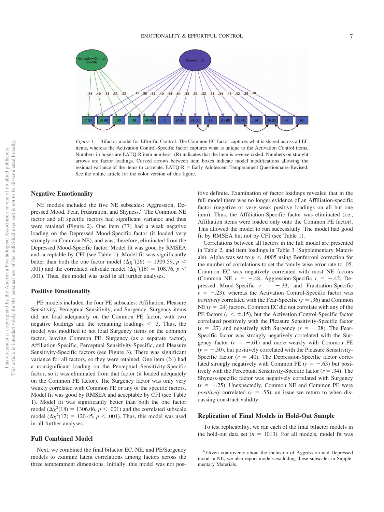

*Figure 1.* Bifactor model for Effortful Control. The Common EC factor captures what is shared across all EC items, whereas the Activation Control-Specific factor captures what is unique to the Activation Control items. Numbers in boxes are EATQ-R item numbers; (R) indicates that the item is reverse coded. Numbers on straight arrows are factor loadings. Curved arrows between item boxes indicate model modifications allowing the residual variance of the items to correlate. EATQ-R = Early Adolescent Temperament Questionnaire-Revised. See the online article for the color version of this figure.

#### **Negative Emotionality**

NE models included the five NE subscales: Aggression, Depressed Mood, Fear, Frustration, and Shyness.<sup>6</sup> The Common NE factor and all specific factors had significant variance and thus were retained (Figure 2). One item (37) had a weak negative loading on the Depressed Mood-Specific factor (it loaded very strongly on Common NE), and was, therefore, eliminated from the Depressed Mood-Specific factor. Model fit was good by RMSEA and acceptable by CFI (see Table 1). Model fit was significantly better than both the one factor model ( $\Delta \chi^2(26) = 1309.59$ , *p* < .001) and the correlated subscale model ( $\Delta \chi^2(16) = 108.76$ ,  $p <$ .001). Thus, this model was used in all further analyses.

### **Positive Emotionality**

PE models included the four PE subscales: Affiliation, Pleasure Sensitivity, Perceptual Sensitivity, and Surgency. Surgency items did not load adequately on the Common PE factor, with two negative loadings and the remaining loadings  $\leq$  .3. Thus, the model was modified to not load Surgency items on the common factor, leaving Common PE, Surgency (as a separate factor), Affiliation-Specific, Perceptual Sensitivity-Specific, and Pleasure Sensitivity-Specific factors (see Figure 3). There was significant variance for all factors, so they were retained. One item (24) had a nonsignificant loading on the Perceptual Sensitivity-Specific factor, so it was eliminated from that factor (it loaded adequately on the Common PE factor). The Surgency factor was only very weakly correlated with Common PE or any of the specific factors. Model fit was good by RMSEA and acceptable by CFI (see Table 1). Model fit was significantly better than both the one factor model  $(\Delta \chi^2(18) = 1306.06, p < .001)$  and the correlated subscale model  $(\Delta \chi^2(12) = 120.45, p < .001)$ . Thus, this model was used in all further analyses.

#### **Full Combined Model**

Next, we combined the final bifactor EC, NE, and PE/Surgency models to examine latent correlations among factors across the three temperament dimensions. Initially, this model was not positive definite. Examination of factor loadings revealed that in the full model there was no longer evidence of an Affiliation-specific factor (negative or very weak positive loadings on all but one item). Thus, the Affiliation-Specific factor was eliminated (i.e., Affiliation items were loaded only onto the Common PE factor). This allowed the model to run successfully. The model had good fit by RMSEA but not by CFI (see Table 1).

Correlations between all factors in the full model are presented in Table 2, and item loadings in Table 3 (Supplementary Materials). Alpha was set to  $p < .0005$  using Bonferroni correction for the number of correlations to set the family wise error rate to .05. Common EC was negatively correlated with most NE factors (Common NE  $r = -.48$ , Aggression-Specific  $r = -.42$ , Depressed Mood-Specific  $r = -.33$ , and Frustration-Specific  $r = -.23$ ), whereas the Activation Control-Specific factor was *positively* correlated with the Fear-Specific ( $r = .36$ ) and Common NE  $(r = .24)$  factors. Common EC did not correlate with any of the PE factors  $(r < \pm .15)$ , but the Activation Control-Specific factor correlated positively with the Pleasure Sensitivity-Specific factor  $(r = .27)$  and negatively with Surgency  $(r = -.28)$ . The Fear-Specific factor was strongly negatively correlated with the Surgency factor  $(r = -.61)$  and more weakly with Common PE  $(r = -.30)$ , but positively correlated with the Pleasure Sensitivity-Specific factor  $(r = .40)$ . The Depression-Specific factor correlated strongly negatively with Common PE  $(r = -.63)$  but positively with the Perceptual Sensitivity-Specific factor  $(r = .34)$ . The Shyness-specific factor was negatively correlated with Surgency  $(r = -.25)$ . Unexpectedly, Common NE and Common PE were *positively* correlated  $(r = .55)$ , an issue we return to when discussing construct validity.

#### **Replication of Final Models in Hold-Out Sample**

To test replicability, we ran each of the final bifactor models in the hold-out data set  $(n = 1013)$ . For all models, model fit was

<sup>6</sup> Given controversy about the inclusion of Aggression and Depressed mood in NE, we also report models excluding these subscales in Supplementary Materials.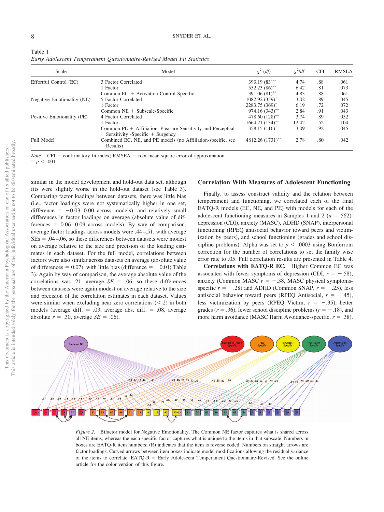| Table 1                                                                 |  |
|-------------------------------------------------------------------------|--|
| Early Adolescent Temperament Questionnaire-Revised Model Fit Statistics |  |

| Scale                      | Model                                                                                                  | $\chi^2$ (df)     | $x^2$ ldf | <b>CFI</b> | <b>RMSEA</b> |
|----------------------------|--------------------------------------------------------------------------------------------------------|-------------------|-----------|------------|--------------|
| Effortful Control (EC)     | 3 Factor Correlated                                                                                    | $393.19(83)$ **   | 4.74      | .88        | .061         |
|                            | 1 Factor                                                                                               | $552.23(86)$ **   | 6.42      | .81        | .073         |
|                            | Common EC + Activation-Control Specific                                                                | $391.06(81)$ **   | 4.83      | .88        | .061         |
| Negative Emotionality (NE) | 5 Factor Correlated                                                                                    | $1082.92(359)$ ** | 3.02      | .89        | .045         |
|                            | 1 Factor                                                                                               | 2283.75 (369)*    | 6.19      | .72        | .072         |
|                            | Common $NE + Subscale-Specific$                                                                        | $974.16(343)$ **  | 2.84      | .91        | .043         |
| Positive Emotionality (PE) | 4 Factor Correlated                                                                                    | 478.60 (128)**    | 3.74      | .89        | .052         |
|                            | 1 Factor                                                                                               | 1664.21 (134)**   | 12.42     | .52        | .104         |
|                            | Common $PE + Affiliation$ , Pleasure Sensitivity and Perceptual<br>Sensitivity - Specific $+$ Surgency | 358.15 (116)**    | 3.09      | .92        | .045         |
| Full Model                 | Combined EC, NE, and PE models (no Affiliation-specific, see<br>Results)                               | 4812.26 (1731)**  | 2.78      | .80        | .042         |

*Note.* CFI = confirmatory fit index; RMSEA = root mean square error of approximation.

 $p < .001$ .

similar in the model development and hold-out data set, although fits were slightly worse in the hold-out dataset (see Table 3). Comparing factor loadings between datasets, there was little bias (i.e., factor loadings were not systematically higher in one set, difference  $= -0.03 - 0.00$  across models), and relatively small differences in factor loadings on average (absolute value of dif $f$  ferences  $= 0.06 - 0.09$  across models). By way of comparison, average factor loadings across models were .44 –.51, with average  $SEs = .04 - .06$ , so these differences between datasets were modest on average relative to the size and precision of the loading estimates in each dataset. For the full model, correlations between factors were also similar across datasets on average (absolute value of differences  $= 0.07$ ), with little bias (difference  $= -0.01$ ; Table 3). Again by way of comparison, the average absolute value of the correlations was .21, average  $SE = .06$ , so these differences between datasets were again modest on average relative to the size and precision of the correlation estimates in each dataset. Values were similar when excluding near zero correlations  $(< 2)$  in both models (average diff.  $= .03$ , average abs. diff.  $= .08$ , average absolute  $r = .30$ , average  $SE = .06$ ).

## **Correlation With Measures of Adolescent Functioning**

Finally, to assess construct validity and the relation between temperament and functioning, we correlated each of the final EATQ-R models (EC, NE, and PE) with models for each of the adolescent functioning measures in Samples 1 and 2  $(n = 562)$ : depression (CDI), anxiety (MASC), ADHD (SNAP), interpersonal functioning (RPEQ antisocial behavior toward peers and victimization by peers), and school functioning (grades and school discipline problems). Alpha was set to  $p < .0003$  using Bonferroni correction for the number of correlations to set the family wise error rate to .05. Full correlation results are presented in Table 4.

**Correlations with EATQ-R EC.** Higher Common EC was associated with fewer symptoms of depression (CDI,  $r = -.58$ ), anxiety (Common MASC  $r = -.38$ , MASC physical symptomsspecific  $r = -.28$ ) and ADHD (Common SNAP,  $r = -.25$ ), less antisocial behavior toward peers (RPEQ Antisocial,  $r = -.45$ ), less victimization by peers (RPEQ Victim,  $r = -.35$ ), better grades ( $r = .36$ ), fewer school discipline problems ( $r = -.18$ ), and more harm avoidance (MASC Harm Avoidance-specific,  $r = .38$ ).



*Figure 2.* Bifactor model for Negative Emotionality. The Common NE factor captures what is shared across all NE items, whereas the each specific factor captures what is unique to the items in that subscale. Numbers in boxes are EATQ-R item numbers; (R) indicates that the item is reverse coded. Numbers on straight arrows are factor loadings. Curved arrows between item boxes indicate model modifications allowing the residual variance of the items to correlate. EATQ-R = Early Adolescent Temperament Questionnaire-Revised. See the online article for the color version of this figure.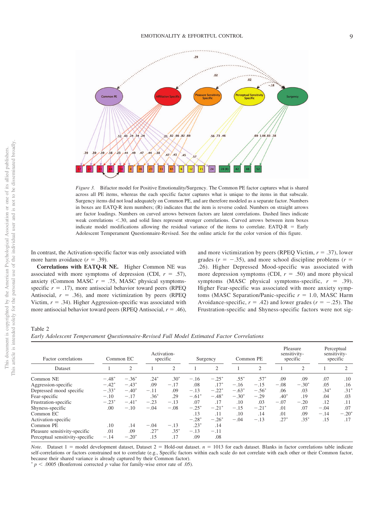

*Figure 3.* Bifactor model for Positive Emotionality/Surgency. The Common PE factor captures what is shared across all PE items, whereas the each specific factor captures what is unique to the items in that subscale. Surgency items did not load adequately on Common PE, and are therefore modeled as a separate factor. Numbers in boxes are EATQ-R item numbers; (R) indicates that the item is reverse coded. Numbers on straight arrows are factor loadings. Numbers on curved arrows between factors are latent correlations. Dashed lines indicate weak correlations <.30, and solid lines represent stronger correlations. Curved arrows between item boxes indicate model modifications allowing the residual variance of the items to correlate.  $EATQ-R =$  Early Adolescent Temperament Questionnaire-Revised. See the online article for the color version of this figure.

In contrast, the Activation-specific factor was only associated with more harm avoidance  $(r = .39)$ .

**Correlations with EATQ-R NE.** Higher Common NE was associated with more symptoms of depression (CDI,  $r = .57$ ), anxiety (Common MASC  $r = .75$ , MASC physical symptomsspecific  $r = .17$ ), more antisocial behavior toward peers (RPEQ Antisocial,  $r = .36$ ), and more victimization by peers (RPEQ Victim,  $r = .34$ ). Higher Aggression-specific was associated with more antisocial behavior toward peers (RPEQ Antisocial,  $r = .46$ ),

and more victimization by peers (RPEQ Victim,  $r = .37$ ), lower grades  $(r = -.35)$ , and more school discipline problems  $(r =$ .26). Higher Depressed Mood-specific was associated with more depression symptoms (CDI,  $r = .50$ ) and more physical symptoms (MASC physical symptoms-specific,  $r = .39$ ). Higher Fear-specific was associated with more anxiety symptoms (MASC Separation/Panic-specific  $r = 1.0$ , MASC Harm Avoidance-specific,  $r = .42$ ) and lower grades ( $r = -.25$ ). The Frustration-specific and Shyness-specific factors were not sig-

#### Table 2

|                |                |           |                |                         |                |          |                |           |                |                                      | Perceptual<br>specific |
|----------------|----------------|-----------|----------------|-------------------------|----------------|----------|----------------|-----------|----------------|--------------------------------------|------------------------|
|                | $\overline{c}$ |           | $\overline{c}$ |                         | $\overline{2}$ |          | $\overline{2}$ |           | $\overline{2}$ |                                      | 2                      |
| $-.48^{\circ}$ | $-.36^{\circ}$ | .24*      | $.30*$         | $-.16$                  | $-.25*$        | $.55*$   | $.57*$         | .09       | .09            | .07                                  | .10                    |
| $-.42*$        | $-.43*$        | .09       | $-.17$         | .08                     | $.17*$         | $-.16$   | $-.15$         | $-.08$    | $-.30^*$       | .05                                  | .16                    |
| $-.33*$        | $-.40*$        | $-.11$    | .09            | $-.13$                  | $-.22*$        | $-.63*$  | $-.56^*$       | .06       | .03            | $.34*$                               | .31                    |
| $-.10$         | $-.17$         | $.36*$    | .29            | $-.61*$                 | $-.48*$        | $-.30*$  | $-.29$         | $.40*$    | .19            | .04                                  | .03                    |
| $-.23*$        | $-.41*$        | $-.23$    | $-.13$         | .07                     | .17            | .10      | .03            | $-.07$    | $-.20$         | .12                                  | .11                    |
| .00            | $-.10$         | $-.04$    | $-.08$         | $-.25*$                 | $-.21*$        | $-.15$   | $-.21$         | .01       | .07            | $-.04$                               | .07                    |
|                |                |           |                | .13                     | .11            | .10      | .14            | .01       | .09            | $-.14$                               | $-.20^{\circ}$         |
|                |                |           |                | $-.28*$                 | $-.26^*$       | $-.04$   | $-.13$         | $.27*$    | $.35*$         | .15                                  | .17                    |
| .10            | .14            | $-.04$    | $-.13$         | $.23*$                  | .14            |          |                |           |                |                                      |                        |
| .01            | .09            | $.27*$    | $.35*$         | $-.13$                  | $-.11$         |          |                |           |                |                                      |                        |
| $-.14$         | $-.20^{\circ}$ | .15       | .17            | .09                     | .08            |          |                |           |                |                                      |                        |
|                |                | Common EC |                | Activation-<br>specific |                | Surgency |                | Common PE |                | Pleasure<br>sensitivity-<br>specific | sensitivity-           |

*Note*. Dataset 1 = model development dataset, Dataset 2 = Hold-out dataset. *n* = 1013 for each dataset. Blanks in factor correlations table indicate self-correlations or factors constrained not to correlate (e.g., Specific factors within each scale do not correlate with each other or their Common factor, because their shared variance is already captured by their Common factor).

 $p < .0005$  (Bonferroni corrected *p* value for family-wise error rate of .05).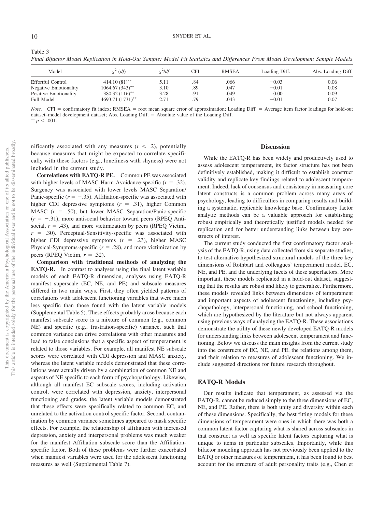Table 3

| Model                 | $\chi^2$ (df)              | $x^2$ ldf | CFI | <b>RMSEA</b> | Loading Diff. | Abs. Loading Diff. |
|-----------------------|----------------------------|-----------|-----|--------------|---------------|--------------------|
| Effortful Control     | $414.10(81)$ <sup>**</sup> | 5.11      | .84 | .066         | $-0.03$       | 0.06               |
| Negative Emotionality | $1064.67(343)$ **          | 3.10      | .89 | .047         | $-0.01$       | 0.08               |
| Positive Emotionality | $380.32(116)$ **           | 3.28      | .91 | .049         | 0.00          | 0.09               |
| Full Model            | 4693.71 (1731)**           | 2.71      | .79 | .043         | $-0.01$       | 0.07               |

*Final Bifactor Model Replication in Hold-Out Sample: Model Fit Statistics and Differences From Model Development Sample Models*

*Note.* CFI = confirmatory fit index; RMSEA = root mean square error of approximation; Loading Diff. = Average item factor loadings for hold-out dataset–model development dataset; Abs. Loading Diff. = Absolute value of the Loading Diff.  $*_{n} < 0.01$ 

 $p < .001$ .

nificantly associated with any measures  $(r < .2)$ , potentially because measures that might be expected to correlate specifically with these factors (e.g., loneliness with shyness) were not included in the current study.

**Correlations with EATQ-R PE.** Common PE was associated with higher levels of MASC Harm Avoidance-specific  $(r = .32)$ . Surgency was associated with lower levels MASC Separation/ Panic-specific  $(r = -.35)$ . Affiliation-specific was associated with higher CDI depressive symptoms  $(r = .31)$ , higher Common MASC  $(r = .50)$ , but lower MASC Separation/Panic-specific  $(r = -.31)$ , more antisocial behavior toward peers (RPEQ Antisocial,  $r = .43$ ), and more victimization by peers (RPEQ Victim,  $r = .30$ ). Perceptual-Sensitivity-specific was associated with higher CDI depressive symptoms  $(r = .23)$ , higher MASC Physical-Symptoms-specific  $(r = .28)$ , and more victimization by peers (RPEQ Victim,  $r = .32$ ).

**Comparison with traditional methods of analyzing the EATQ-R.** In contrast to analyses using the final latent variable models of each EATQ-R dimension, analyses using EATQ-R manifest superscale (EC, NE, and PE) and subscale measures differed in two main ways. First, they often yielded patterns of correlations with adolescent functioning variables that were much less specific than those found with the latent variable models (Supplemental Table 5). These effects probably arose because each manifest subscale score is a mixture of common (e.g., common NE) and specific (e.g., frustration-specific) variance, such that common variance can drive correlations with other measures and lead to false conclusions that a specific aspect of temperament is related to those variables. For example, all manifest NE subscale scores were correlated with CDI depression and MASC anxiety, whereas the latent variable models demonstrated that these correlations were actually driven by a combination of common NE and aspects of NE specific to each form of psychopathology. Likewise, although all manifest EC subscale scores, including activation control, were correlated with depression, anxiety, interpersonal functioning and grades, the latent variable models demonstrated that these effects were specifically related to common EC, and unrelated to the activation control specific factor. Second, contamination by common variance sometimes appeared to mask specific effects. For example, the relationship of affiliation with increased depression, anxiety and interpersonal problems was much weaker for the manifest Affiliation subscale score than the Affiliationspecific factor. Both of these problems were further exacerbated when manifest variables were used for the adolescent functioning measures as well (Supplemental Table 7).

#### **Discussion**

While the EATQ-R has been widely and productively used to assess adolescent temperament, its factor structure has not been definitively established, making it difficult to establish construct validity and replicate key findings related to adolescent temperament. Indeed, lack of consensus and consistency in measuring core latent constructs is a common problem across many areas of psychology, leading to difficulties in comparing results and building a systematic, replicable knowledge base. Confirmatory factor analytic methods can be a valuable approach for establishing robust empirically and theoretically justified models needed for replication and for better understanding links between key constructs of interest.

The current study conducted the first confirmatory factor analysis of the EATQ-R, using data collected from six separate studies, to test alternative hypothesized structural models of the three key dimensions of Rothbart and colleagues' temperament model, EC, NE, and PE, and the underlying facets of these superfactors. More important, these models replicated in a hold-out dataset, suggesting that the results are robust and likely to generalize. Furthermore, these models revealed links between dimensions of temperament and important aspects of adolescent functioning, including psychopathology, interpersonal functioning, and school functioning, which are hypothesized by the literature but not always apparent using previous ways of analyzing the EATQ-R. These associations demonstrate the utility of these newly developed EATQ-R models for understanding links between adolescent temperament and functioning. Below we discuss the main insights from the current study into the constructs of EC, NE, and PE, the relations among them, and their relation to measures of adolescent functioning. We include suggested directions for future research throughout.

#### **EATQ-R Models**

Our results indicate that temperament, as assessed via the EATQ-R, cannot be reduced simply to the three dimensions of EC, NE, and PE. Rather, there is both unity and diversity within each of these dimensions. Specifically, the best fitting models for these dimensions of temperament were ones in which there was both a common latent factor capturing what is shared across subscales in that construct as well as specific latent factors capturing what is unique to items in particular subscales. Importantly, while this bifactor modeling approach has not previously been applied to the EATQ or other measures of temperament, it has been found to best account for the structure of adult personality traits (e.g., Chen et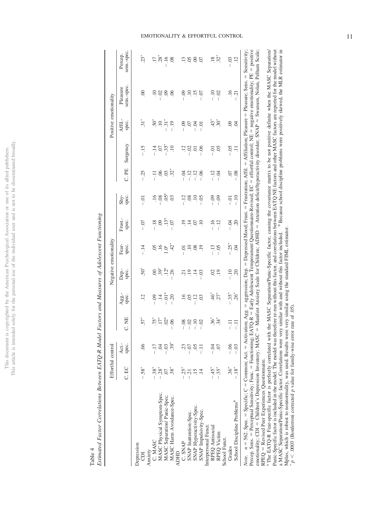|                          | I               |
|--------------------------|-----------------|
|                          |                 |
|                          | ¢               |
| í                        | ł               |
| ä                        |                 |
|                          |                 |
|                          |                 |
|                          |                 |
|                          |                 |
|                          |                 |
|                          |                 |
|                          |                 |
|                          |                 |
|                          |                 |
|                          |                 |
| $\overline{\phantom{a}}$ | i               |
|                          |                 |
|                          |                 |
|                          |                 |
|                          |                 |
|                          |                 |
|                          | j               |
|                          |                 |
|                          |                 |
|                          |                 |
|                          |                 |
|                          |                 |
|                          | j               |
|                          |                 |
|                          |                 |
|                          |                 |
|                          |                 |
|                          |                 |
|                          |                 |
|                          |                 |
|                          |                 |
|                          |                 |
|                          |                 |
|                          | J               |
|                          | <b>Contract</b> |
|                          |                 |
|                          |                 |
|                          |                 |
|                          |                 |
|                          |                 |
|                          |                 |
| j                        |                 |
| i                        |                 |
| )                        |                 |
| 2                        |                 |
|                          |                 |
|                          |                 |
|                          |                 |
|                          |                 |
|                          |                 |
|                          |                 |
|                          |                 |
| I<br>ע ממי               |                 |
|                          |                 |
|                          |                 |
|                          |                 |
| ï                        | í.              |
| ij                       |                 |
| l<br>Í                   | ¢               |
|                          |                 |
|                          | I               |
|                          | į               |
|                          |                 |
|                          |                 |
| d                        |                 |
| <b>STT</b>               |                 |
|                          |                 |
|                          |                 |
| j                        |                 |
|                          |                 |
|                          |                 |
| j                        |                 |
| I<br>j                   |                 |
| į                        |                 |
| I                        |                 |
| J                        |                 |
|                          | ï               |
| <b>CONTACT COM</b>       |                 |
|                          |                 |
| í<br>Í                   |                 |
|                          |                 |
|                          |                 |
|                          |                 |
|                          |                 |
|                          |                 |
|                          | I               |
| S                        |                 |
| Ŝ                        |                 |
| $\frac{1}{2}$            |                 |
|                          |                 |
|                          |                 |
|                          |                 |
|                          |                 |
|                          |                 |
| $\frac{1}{2}$            |                 |
|                          |                 |
|                          |                 |
|                          |                 |
| i                        |                 |
|                          | ï               |
|                          |                 |
|                          | ĺ<br>ì          |
|                          | L               |

# Table 4

Estimated Factor Correlations Between EATQ-R Model Factors and Measures of Adolescent Functioning Estimated Factor Correlations Between EATQ-R Model Factors and Measures of Adolescent Functioning

|                                                                                                                                                                                                                                                                                                                                                                                                                                                                                                                     | Effortful control |                           |                                                     |                 | Negative emotionality                                               |                           |                  |                           |                  |                  | Positive emotionality |                                                                                |                        |
|---------------------------------------------------------------------------------------------------------------------------------------------------------------------------------------------------------------------------------------------------------------------------------------------------------------------------------------------------------------------------------------------------------------------------------------------------------------------------------------------------------------------|-------------------|---------------------------|-----------------------------------------------------|-----------------|---------------------------------------------------------------------|---------------------------|------------------|---------------------------|------------------|------------------|-----------------------|--------------------------------------------------------------------------------|------------------------|
|                                                                                                                                                                                                                                                                                                                                                                                                                                                                                                                     | C. EC             | Act.-<br>spec.            | 巴<br>C. NE                                          | Agg-<br>spec.   | Dep.-<br>spec.                                                      | Fear-<br>spec.            | Frust.-<br>spec. | $\mathbf{Shy}$ -<br>spec. | C. PE            | Surgency         | Affil.-<br>spec.      | sens.-spec.<br>Pleasure                                                        | sens.-spec.<br>Percep. |
| Depression<br>Ē                                                                                                                                                                                                                                                                                                                                                                                                                                                                                                     |                   | $\widetilde{\mathcal{S}}$ | 57*                                                 | $\ddot{5}$      | $50^*$                                                              | $-14$                     | $-0.7$           | $-0$                      | $-0.25$          | $-15$            | $\overline{31}^*$     | $\odot$                                                                        | $23*$                  |
| Anxiety                                                                                                                                                                                                                                                                                                                                                                                                                                                                                                             |                   |                           |                                                     |                 |                                                                     |                           |                  |                           |                  |                  |                       |                                                                                |                        |
| C. MASC                                                                                                                                                                                                                                                                                                                                                                                                                                                                                                             |                   |                           |                                                     | $-0.9$          |                                                                     | SO.                       | $-18$            |                           |                  | $-14$            | $50^*$                | $\ddot{=}$                                                                     | $\overline{11}$        |
| MASC Physical Symptom-Spec.                                                                                                                                                                                                                                                                                                                                                                                                                                                                                         | $-.28^*$          | $\ddot{5}$                | $.75^{*}$                                           | $\overline{14}$ | $9\frac{6}{10}$                                                     | 16                        | 60               | $-0.8$                    | $\frac{11}{1}88$ | 07               | $\ddot{=}$            | $-0$                                                                           | $.28*$                 |
| MASC Separation/ Panic-Spec.                                                                                                                                                                                                                                                                                                                                                                                                                                                                                        | .07               |                           | $.02^{\rm a}$                                       | $-01^{a}$       |                                                                     | $1.0^{\mathrm{a}}$        | .13 <sup>a</sup> | .05 <sup>a</sup>          |                  | $-35^{\circ}$    | $-.31*$               | $\odot$                                                                        | $-16$                  |
| MASC Harm Avoidance-Spec.                                                                                                                                                                                                                                                                                                                                                                                                                                                                                           | $38*$             | $39*$                     | 06                                                  | $-.20$          | $.12^{a}$                                                           | $42*$                     | $-0.07$          | $\overline{0}$            | $.32*$           | $\overline{10}$  | $-19$                 | S.                                                                             | 08                     |
| <b>ADHD</b>                                                                                                                                                                                                                                                                                                                                                                                                                                                                                                         |                   |                           |                                                     |                 |                                                                     |                           |                  |                           |                  |                  |                       |                                                                                |                        |
| C. SNAP                                                                                                                                                                                                                                                                                                                                                                                                                                                                                                             | $-25^*$           |                           | $-0.8$                                              | $\frac{16}{1}$  |                                                                     | io.<br>⊃                  | $\ddot{ }$       | $-12$                     | $-0.4$           |                  | $-0.9$                | $-0.0$                                                                         | $\Xi$                  |
| SNAP Inattention-Spec.                                                                                                                                                                                                                                                                                                                                                                                                                                                                                              | $-21$             | $-0.7$                    | $-02$                                               | $\ddot{\circ}$  | $\overline{c}$ ; $\overline{c}$ ; $\overline{c}$ ; $\overline{c}$ ; | $\Xi$                     | $\overline{14}$  | 08                        | $-12$            | $\frac{12}{10}$  | $\overline{0}$ .      | $\Xi$                                                                          | 05                     |
| SNAP Hyperactivity-Spec.                                                                                                                                                                                                                                                                                                                                                                                                                                                                                            | $\frac{15}{1}$    | 05                        | $\frac{1}{1}$                                       | $-12$           |                                                                     | $\ddot{\circ}$            | $\overline{0}$   | $\ddot{=}$                | $-12$            | iO.              | प्य<br>।              | $\ddot{5}$                                                                     | $\odot$                |
| SNAP Impulsivity-Spec.                                                                                                                                                                                                                                                                                                                                                                                                                                                                                              |                   |                           | $-.02$                                              | 03              | $-03$                                                               | $\overline{.}19$          | $\Xi$            | $-0.5$                    | $-0.6$           | $-06$            | $-0$                  | $-0$                                                                           | 07                     |
| Interpersonal Funct.                                                                                                                                                                                                                                                                                                                                                                                                                                                                                                |                   |                           |                                                     |                 |                                                                     |                           |                  |                           |                  |                  |                       |                                                                                |                        |
| RPEQ Antisocial                                                                                                                                                                                                                                                                                                                                                                                                                                                                                                     | $-45"$            | $-0.4$                    | $36^*$                                              | $-46$           |                                                                     | $-13$                     | $-16$            | $-0.9$                    | $-12$            | $\overline{0}$ . | $43*$                 | $\frac{10}{1}$                                                                 | .18                    |
| RPEQ Victim                                                                                                                                                                                                                                                                                                                                                                                                                                                                                                         | $-.35"$           |                           | $.34*$                                              | $.27*$          | $\frac{2}{19}$                                                      | $-0.5$                    | $-12$            | $-0.9$                    | $-0.4$           | $\overline{0}$   | $.30*$                | $-02$                                                                          | $.32*$                 |
| School Funct.                                                                                                                                                                                                                                                                                                                                                                                                                                                                                                       |                   |                           |                                                     |                 |                                                                     |                           |                  |                           |                  |                  |                       |                                                                                |                        |
| Grades                                                                                                                                                                                                                                                                                                                                                                                                                                                                                                              | $.36*$            | $-0.06$                   | ミー                                                  | $-.35*$         | $-10$                                                               | $-25^*$                   | $-0.4$           | $-0.1$                    | $C$ .            | $-0.5$           | $\ddot{\circ}$        | $\frac{16}{1}$                                                                 | $-0.3$                 |
| School Discipline Problems <sup>b</sup>                                                                                                                                                                                                                                                                                                                                                                                                                                                                             | $-.18^{*}$        |                           | 류                                                   | $.26*$          | 20                                                                  | $\widetilde{\mathcal{L}}$ | 20               | $-10$                     | $-0.8$           | $\Xi$            | ੩                     | $-21$                                                                          | $\overline{12}$        |
| Percep. Sens. = Perceptual Sensitivity, Func. = Functioning, EATQ-R = Early Adolescent Temperament Questionnaire-Revised; EC = effortful control; NE = negative emotionality; PE = positive<br>Note. n = 562. Spec. = Specific; C = Common; Act. = Activation; Agg. = aggression; Dep. = Depressed Mood; Frust. = Frustration; Affil. = Affiliation; Pleasure = Pleasure; Sens. = Sensitivity;<br>emotionality; $CDI = Children's \nDeression \nInventory; MAXS$<br>$RPQ =$ Revised Peer Experiences Questionnaire. |                   |                           | $C =$ Manifest Anxiety Scale for Children; ADHD $=$ |                 |                                                                     |                           |                  |                           |                  |                  |                       | Attention deficit/hyperactivity disorder: SNAP = Swanson, Nolan, Pelham Scale; |                        |

 Revised Peer Experiences Questionnaire. <sup>a</sup> The EATQ-R Fear-specific factor is perfectly correlated with the MASC Separation/Panic-Specific factor, causing the covariance matrix to be not positive definite when the MASC Separation/ Panic-Specific factor is included in the model. The model was therefore re-run without this factor, and correlations between EATQ NE factors and other MASC factors are reported for the model without

RPEQ<br>a The<br>Panic-<br>Mplus<br>Mplus a MASC Separation/Panic-Specific factor. Correlations were very similar with and without this factor included. b Because school discipline problems were positively skewed, the MLR estimator in Mplus, which is robust to nonnormality, was used. Results were very similar using the standard FIML estimator.

 $p \leq 0.0003$  (Bonferroni corrected *p* value for family-wise error rate of .05).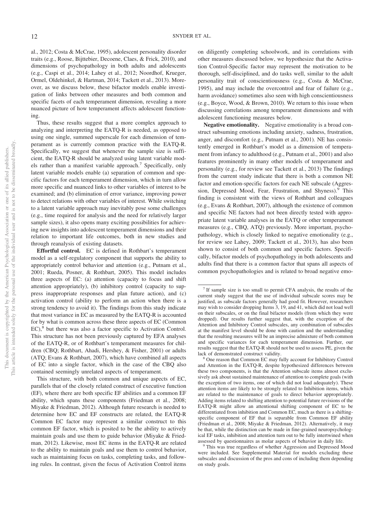al., 2012; Costa & McCrae, 1995), adolescent personality disorder traits (e.g., Roose, Bijttebier, Decoene, Claes, & Frick, 2010), and dimensions of psychopathology in both adults and adolescents (e.g., Caspi et al., 2014; Lahey et al., 2012; Noordhof, Krueger, Ormel, Oldehinkel, & Hartman, 2014; Tackett et al., 2013). Moreover, as we discuss below, these bifactor models enable investigation of links between other measures and both common and specific facets of each temperament dimension, revealing a more nuanced picture of how temperament affects adolescent functioning.

Thus, these results suggest that a more complex approach to analyzing and interpreting the EATQ-R is needed, as opposed to using one single, summed superscale for each dimension of temperament as is currently common practice with the EATQ-R. Specifically, we suggest that whenever the sample size is sufficient, the EATQ-R should be analyzed using latent variable models rather than a manifest variable approach.<sup>7</sup> Specifically, only latent variable models enable (a) separation of common and specific factors for each temperament dimension, which in turn allow more specific and nuanced links to other variables of interest to be examined; and (b) elimination of error variance, improving power to detect relations with other variables of interest. While switching to a latent variable approach may inevitably pose some challenges (e.g., time required for analysis and the need for relatively larger sample sizes), it also opens many exciting possibilities for achieving new insights into adolescent temperament dimensions and their relation to important life outcomes, both in new studies and through reanalysis of existing datasets.

**Effortful control.** EC is defined in Rothbart's temperament model as a self-regulatory component that supports the ability to appropriately control behavior and attention (e.g., Putnam et al., 2001; Rueda, Posner, & Rothbart, 2005). This model includes three aspects of EC: (a) attention (capacity to focus and shift attention appropriately), (b) inhibitory control (capacity to suppress inappropriate responses and plan future action), and (c) activation control (ability to perform an action when there is a strong tendency to avoid it). The findings from this study indicate that most variance in EC as measured by the EATQ-R is accounted for by what is common across these three aspects of EC (Common EC),<sup>8</sup> but there was also a factor specific to Activation Control. This structure has not been previously captured by EFA analyses of the EATQ-R, or of Rothbart's temperament measures for children (CBQ; Rothbart, Ahadi, Hershey, & Fisher, 2001) or adults (ATQ; Evans & Rothbart, 2007), which have combined all aspects of EC into a single factor, which in the case of the CBQ also contained seemingly unrelated aspects of temperament.

This structure, with both common and unique aspects of EC, parallels that of the closely related construct of executive function (EF), where there are both specific EF abilities and a common EF ability, which spans these components (Friedman et al., 2008; Miyake & Friedman, 2012). Although future research is needed to determine how EC and EF constructs are related, the EATQ-R Common EC factor may represent a similar construct to this common EF factor, which is posited to be the ability to actively maintain goals and use them to guide behavior (Miyake & Friedman, 2012). Likewise, most EC items in the EATQ-R are related to the ability to maintain goals and use them to control behavior, such as maintaining focus on tasks, completing tasks, and following rules. In contrast, given the focus of Activation Control items on diligently completing schoolwork, and its correlations with other measures discussed below, we hypothesize that the Activation Control-Specific factor may represent the motivation to be thorough, self-disciplined, and do tasks well, similar to the adult personality trait of conscientiousness (e.g., Costa & McCrae, 1995), and may include the overcontrol and fear of failure (e.g., harm avoidance) sometimes also seen with high conscientiousness (e.g., Boyce, Wood, & Brown, 2010). We return to this issue when discussing correlations among temperament dimensions and with adolescent functioning measures below.

**Negative emotionality.** Negative emotionality is a broad construct subsuming emotions including anxiety, sadness, frustration, anger, and discomfort (e.g., Putnam et al., 2001). NE has consistently emerged in Rothbart's model as a dimension of temperament from infancy to adulthood (e.g., Putnam et al., 2001) and also features prominently in many other models of temperament and personality (e.g., for review see Tackett et al., 2013) The findings from the current study indicate that there is both a common NE factor and emotion-specific factors for each NE subscale (Aggression, Depressed Mood, Fear, Frustration, and Shyness).<sup>9</sup> This finding is consistent with the views of Rothbart and colleagues (e.g., Evans & Rothbart, 2007), although the existence of common and specific NE factors had not been directly tested with appropriate latent variable analyses in the EATQ or other temperament measures (e.g., CBQ, ATQ) previously. More important, psychopathology, which is closely linked to negative emotionality (e.g., for review see Lahey, 2009; Tackett et al., 2013), has also been shown to consist of both common and specific factors. Specifically, bifactor models of psychopathology in both adolescents and adults find that there is a common factor that spans all aspects of common psychopathologies and is related to broad negative emo-

<sup>7</sup> If sample size is too small to permit CFA analysis, the results of the current study suggest that the use of individual subscale scores may be justified, as subscale factors generally had good fit. However, researchers may wish to consider dropping Items 3, 19, and 41, which did not load well on their subscales, or on the final bifactor models (from which they were dropped). Our results further suggest that, with the exception of the Attention and Inhibitory Control subscales, any combination of subscales at the manifest level should be done with caution and the understanding that the resulting measures will be an imprecise admixture of both common and specific variances for each temperament dimension. Further, our results suggest that the EATQ-R should not be used to assess PE, given the lack of demonstrated construct validity. <sup>8</sup> One reason that Common EC may fully account for Inhibitory Control

and Attention in the EATQ-R, despite hypothesized differences between these two components, is that the Attention subscale items almost exclusively ask about sustained maintenance of attention to complete goals (with the exception of two items, one of which did not load adequately). These attention items are likely to be strongly related to Inhibition items, which are related to the maintenance of goals to direct behavior appropriately. Adding items related to shifting attention to potential future revisions of the EATQ-R might allow an attentional shifting component of EC to be differentiated from inhibition and Common EC, much as there is a shiftingspecific component of EF that is separable from Common EF ability (Friedman et al., 2008; Miyake & Friedman, 2012). Alternatively, it may be that, while the distinction can be made in fine-grained neuropsychological EF tasks, inhibition and attention turn out to be fully intertwined when

assessed by questionnaires as molar aspects of behavior in daily life. <sup>9</sup> This was true regardless of whether Aggression and Depressed Mood were included. See Supplemental Material for models excluding these subscales and discussion of the pros and cons of including them depending on study goals.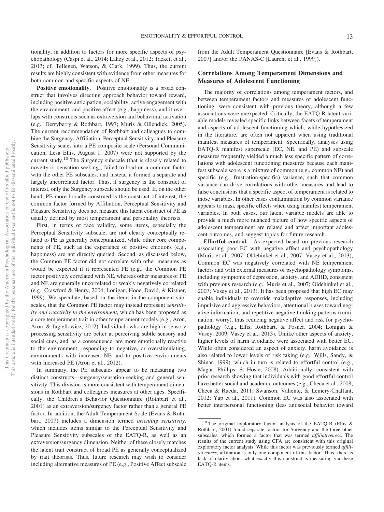tionality, in addition to factors for more specific aspects of psychopathology (Caspi et al., 2014; Lahey et al., 2012; Tackett et al., 2013; cf. Tellegen, Watson, & Clark, 1999). Thus, the current results are highly consistent with evidence from other measures for both common and specific aspects of NE.

Positive emotionality. Positive emotionality is a broad construct that involves directing approach behavior toward reward, including positive anticipation, sociability, active engagement with the environment, and positive affect (e.g., happiness), and it overlaps with constructs such as extraversion and behavioral activation (e.g., Derryberry & Rothbart, 1997; Muris & Ollendick, 2005). The current recommendation of Rothbart and colleagues to combine the Surgency, Affiliation, Perceptual Sensitivity, and Pleasure Sensitivity scales into a PE composite scale (Personal Communication, Lesa Ellis, August 1, 2007) were not supported by the current study.10 The Surgency subscale (that is closely related to novelty or sensation seeking), failed to load on a common factor with the other PE subscales, and instead it formed a separate and largely uncorrelated factor. Thus, if surgency is the construct of interest, only the Surgency subscale should be used. If, on the other hand, PE more broadly construed is the construct of interest, the common factor formed by Affiliation, Perceptual Sensitivity and Pleasure Sensitivity does not measure this latent construct of PE as usually defined by most temperament and personality theorists.

First, in terms of face validity, some items, especially the Perceptual Sensitivity subscale, are not clearly conceptually related to PE as generally conceptualized, while other core components of PE, such as the experience of positive emotions (e.g., happiness) are not directly queried. Second, as discussed below, the Common PE factor did not correlate with other measures as would be expected if it represented PE (e.g., the Common PE factor positively correlated with NE, whereas other measures of PE and NE are generally uncorrelated or weakly negatively correlated (e.g., Crawford & Henry, 2004; Lonigan, Hooe, David, & Kistner, 1999). We speculate, based on the items in the component subscales, that the Common PE factor may instead represent *sensitivity and reactivity to the environment*, which has been proposed as a core temperament trait in other temperament models (e.g., Aron, Aron, & Jagiellowicz, 2012). Individuals who are high in sensory processing sensitivity are better at perceiving subtle sensory and social cues, and, as a consequence, are more emotionally reactive to the environment, responding to negative, or overstimulating, environments with increased NE and to positive environments with increased PE (Aron et al., 2012).

In summary, the PE subscales appear to be measuring two distinct constructs—surgency/sensation-seeking and general sensitivity. This division is more consistent with temperament dimensions in Rothbart and colleagues measures at other ages. Specifically, the Children's Behavior Questionnaire (Rothbart et al., 2001) as an extraversion/surgency factor rather than a general PE factor. In addition, the Adult Temperament Scale (Evans & Rothbart, 2007) includes a dimension termed *orienting sensitivity*, which includes items similar to the Perceptual Sensitivity and Pleasure Sensitivity subscales of the EATQ-R, as well as an extraversion/surgency dimension. Neither of these closely matches the latent trait construct of broad PE as generally conceptualized by trait theorists. Thus, future research may wish to consider including alternative measures of PE (e.g., Positive Affect subscale

from the Adult Temperament Questionnaire [Evans & Rothbart, 2007] and/or the PANAS-C [Laurent et al., 1999]).

## **Correlations Among Temperament Dimensions and Measures of Adolescent Functioning**

The majority of correlations among temperament factors, and between temperament factors and measures of adolescent functioning, were consistent with previous theory, although a few associations were unexpected. Critically, the EATQ-R latent variable models revealed specific links between facets of temperament and aspects of adolescent functioning which, while hypothesized in the literature, are often not apparent when using traditional manifest measures of temperament. Specifically, analyses using EATQ-R manifest superscale (EC, NE, and PE) and subscale measures frequently yielded a much less specific pattern of correlations with adolescent functioning measures because each manifest subscale score is a mixture of common (e.g., common NE) and specific (e.g., frustration-specific) variance, such that common variance can drive correlations with other measures and lead to false conclusions that a specific aspect of temperament is related to those variables. In other cases contamination by common variance appears to mask specific effects when using manifest temperament variables. In both cases, our latent variable models are able to provide a much more nuanced picture of how specific aspects of adolescent temperament are related and affect important adolescent outcomes, and suggest topics for future research.

**Effortful control.** As expected based on previous research associating poor EC with negative affect and psychopathology (Muris et al., 2007; Oldehinkel et al., 2007; Vasey et al., 2013), Common EC was negatively correlated with NE temperament factors and with external measures of psychopathology symptoms, including symptoms of depression, anxiety, and ADHD, consistent with previous research (e.g., Muris et al., 2007; Oldehinkel et al., 2007; Vasey et al., 2013). It has been proposed that high EC may enable individuals to override maladaptive responses, including impulsive and aggressive behaviors, attentional biases toward negative information, and repetitive negative thinking patterns (rumination, worry), thus reducing negative affect and risk for psychopathology (e.g., Ellis, Rothbart, & Posner, 2004; Lonigan & Vasey, 2009; Vasey et al., 2013). Unlike other aspects of anxiety, higher levels of harm avoidance were associated with better EC. While often considered an aspect of anxiety, harm avoidance is also related to lower levels of risk taking (e.g., Wills, Sandy, & Shinar, 1999), which in turn is related to effortful control (e.g., Magar, Phillips, & Hosie, 2008). Additionally, consistent with prior research showing that individuals with good effortful control have better social and academic outcomes (e.g., Checa et al., 2008; Checa & Rueda, 2011; Swanson, Valiente, & Lemery-Chalfant, 2012; Yap et al., 2011), Common EC was also associated with better interpersonal functioning (less antisocial behavior toward

<sup>&</sup>lt;sup>10</sup> The original exploratory factor analysis of the EATQ-R (Ellis  $\&$ Rothbart, 2001) found separate factors for Surgency and the three other subscales, which formed a factor that was termed *affiliativeness*. The results of the current study using CFA are consistent with this original exploratory factor analysis. While this factor was previously termed *affiliativeness*, affiliation is only one component of this factor. Thus, there is lack of clarity about what exactly this construct is measuring via these EATQ-R items.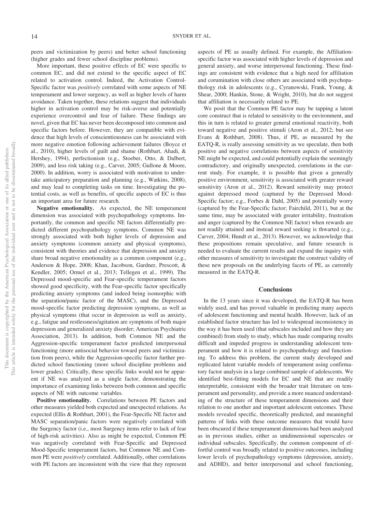peers and victimization by peers) and better school functioning (higher grades and fewer school discipline problems).

More important, these positive effects of EC were specific to common EC, and did not extend to the specific aspect of EC related to activation control. Indeed, the Activation Control-Specific factor was *positively* correlated with some aspects of NE temperament and lower surgency, as well as higher levels of harm avoidance. Taken together, these relations suggest that individuals higher in activation control may be risk-averse and potentially experience overcontrol and fear of failure. These findings are novel, given that EC has never been decomposed into common and specific factors before. However, they are compatible with evidence that high levels of conscientiousness can be associated with more negative emotion following achievement failures (Boyce et al., 2010), higher levels of guilt and shame (Rothbart, Ahadi, & Hershey, 1994), perfectionism (e.g., Stoeber, Otto, & Dalbert, 2009), and less risk taking (e.g., Carver, 2005; Gullone & Moore, 2000). In addition, worry is associated with motivation to undertake anticipatory preparation and planning (e.g., Watkins, 2008), and may lead to completing tasks on time. Investigating the potential costs, as well as benefits, of specific aspects of EC is thus an important area for future research.

**Negative emotionality.** As expected, the NE temperament dimension was associated with psychopathology symptoms. Importantly, the common and specific NE factors differentially predicted different psychopathology symptoms. Common NE was strongly associated with both higher levels of depression and anxiety symptoms (common anxiety and physical symptoms), consistent with theories and evidence that depression and anxiety share broad negative emotionality as a common component (e.g., Anderson & Hope, 2008; Khan, Jacobson, Gardner, Prescott, & Kendler, 2005; Ormel et al., 2013; Tellegen et al., 1999). The Depressed mood-specific and Fear-specific temperament factors showed good specificity, with the Fear-specific factor specifically predicting anxiety symptoms (and indeed being isomorphic with the separation/panic factor of the MASC), and the Depressed mood-specific factor predicting depression symptoms, as well as physical symptoms (that occur in depression as well as anxiety, e.g., fatigue and restlessness/agitation are symptoms of both major depression and generalized anxiety disorder; American Psychiatric Association, 2013). In addition, both Common NE and the Aggression-specific temperament factor predicted interpersonal functioning (more antisocial behavior toward peers and victimization from peers), while the Aggression-specific factor further predicted school functioning (more school discipline problems and lower grades). Critically, these specific links would not be apparent if NE was analyzed as a single factor, demonstrating the importance of examining links between both common and specific aspects of NE with outcome variables.

**Positive emotionality.** Correlations between PE factors and other measures yielded both expected and unexpected relations. As expected (Ellis & Rothbart, 2001), the Fear-Specific NE factor and MASC separation/panic factors were negatively correlated with the Surgency factor (i.e., most Surgency items refer to lack of fear of high-risk activities). Also as might be expected, Common PE was negatively correlated with Fear-Specific and Depressed Mood-Specific temperament factors, but Common NE and Common PE were *positively* correlated. Additionally, other correlations with PE factors are inconsistent with the view that they represent aspects of PE as usually defined. For example, the Affiliationspecific factor was associated with higher levels of depression and general anxiety, and worse interpersonal functioning. These findings are consistent with evidence that a high need for affiliation and corumination with close others are associated with psychopathology risk in adolescents (e.g., Cyranowski, Frank, Young, & Shear, 2000; Hankin, Stone, & Wright, 2010), but do not suggest that affiliation is necessarily related to PE.

We posit that the Common PE factor may be tapping a latent core construct that is related to sensitivity to the environment, and this in turn is related to greater general emotional reactivity, both toward negative and positive stimuli (Aron et al., 2012; but see Evans & Rothbart, 2008). Thus, if PE, as measured by the EATQ-R, is really assessing sensitivity as we speculate, then both positive and negative correlations between aspects of sensitivity NE might be expected, and could potentially explain the seemingly contradictory, and originally unexpected, correlations in the current study. For example, it is possible that given a generally positive environment, sensitivity is associated with greater reward sensitivity (Aron et al., 2012). Reward sensitivity may protect against depressed mood (captured by the Depressed Mood-Specific factor; e.g., Forbes & Dahl, 2005) and potentially worry (captured by the Fear-Specific factor; Fairchild, 2011), but at the same time, may be associated with greater irritability, frustration and anger (captured by the Common NE factor) when rewards are not readily attained and instead reward seeking is thwarted (e.g., Carver, 2004; Hundt et al., 2013). However, we acknowledge that these propositions remain speculative, and future research is needed to evaluate the current results and expand the inquiry with other measures of sensitivity to investigate the construct validity of these new proposals on the underlying facets of PE, as currently measured in the EATQ-R.

#### **Conclusions**

In the 13 years since it was developed, the EATQ-R has been widely used, and has proved valuable in predicting many aspects of adolescent functioning and mental health. However, lack of an established factor structure has led to widespread inconsistency in the way it has been used (that subscales included and how they are combined) from study to study, which has made comparing results difficult and impeded progress in understanding adolescent temperament and how it is related to psychopathology and functioning. To address this problem, the current study developed and replicated latent variable models of temperament using confirmatory factor analysis in a large combined sample of adolescents. We identified best-fitting models for EC and NE that are readily interpretable, consistent with the broader trait literature on temperament and personality, and provide a more nuanced understanding of the structure of these temperament dimensions and their relation to one another and important adolescent outcomes. These models revealed specific, theoretically predicted, and meaningful patterns of links with these outcome measures that would have been obscured if these temperament dimensions had been analyzed as in previous studies, either as unidimensional superscales or individual subscales. Specifically, the common component of effortful control was broadly related to positive outcomes, including lower levels of psychopathology symptoms (depression, anxiety, and ADHD), and better interpersonal and school functioning,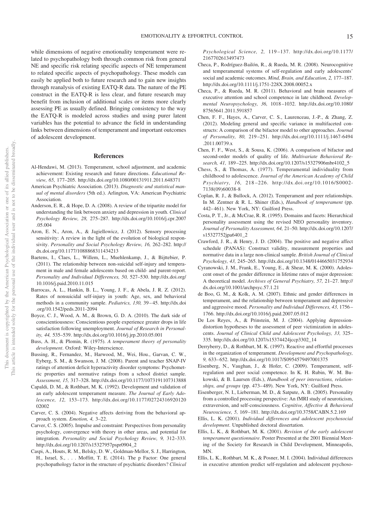while dimensions of negative emotionality temperament were related to psychopathology both through common risk from general NE and specific risk relating specific aspects of NE temperament to related specific aspects of psychopathology. These models can easily be applied both to future research and to gain new insights through reanalysis of existing EATQ-R data. The nature of the PE construct in the EATQ-R is less clear, and future research may benefit from inclusion of additional scales or items more clearly assessing PE as usually defined. Bringing consistency to the way the EATQ-R is modeled across studies and using purer latent variables has the potential to advance the field in understanding links between dimensions of temperament and important outcomes of adolescent development.

#### **References**

- Al-Hendawi, M. (2013). Temperament, school adjustment, and academic achievement: Existing research and future directions. *Educational Review, 65,* 177–205. http://dx.doi.org/10.1080/00131911.2011.648371
- American Psychiatric Association. (2013). *Diagnostic and statistical manual of mental disorders* (5th ed.). Arlington, VA: American Psychiatric Association.
- Anderson, E. R., & Hope, D. A. (2008). A review of the tripartite model for understanding the link between anxiety and depression in youth. *Clinical Psychology Review, 28,* 275–287. http://dx.doi.org/10.1016/j.cpr.2007 .05.004
- Aron, E. N., Aron, A., & Jagiellowicz, J. (2012). Sensory processing sensitivity: A review in the light of the evolution of biological responsivity. *Personality and Social Psychology Review, 16,* 262–282. http:// dx.doi.org/10.1177/1088868311434213
- Baetens, I., Claes, L., Willem, L., Muehlenkamp, J., & Bijttebier, P. (2011). The relationship between non-suicidal self-injury and temperament in male and female adolescents based on child- and parent-report. *Personality and Individual Differences, 50,* 527–530. http://dx.doi.org/ 10.1016/j.paid.2010.11.015
- Barrocas, A. L., Hankin, B. L., Young, J. F., & Abela, J. R. Z. (2012). Rates of nonsuicidal self-injury in youth: Age, sex, and behavioral methods in a community sample. *Pediatrics, 130,* 39 – 45. http://dx.doi .org/10.1542/peds.2011-2094
- Boyce, C. J., Wood, A. M., & Brown, G. D. A. (2010). The dark side of conscientiousness: Conscientious people experience greater drops in life satisfaction following unemployment. *Journal of Research in Personality, 44,* 535–539. http://dx.doi.org/10.1016/j.jrp.2010.05.001
- Buss, A. H., & Plomin, R. (1975). *A temperament theory of personality development*. Oxford: Wiley-Interscience.
- Bussing, R., Fernandez, M., Harwood, M., Wei, Hou., Garvan, C. W., Eyberg, S. M., & Swanson, J. M. (2008). Parent and teacher SNAP-IV ratings of attention deficit hyperactivity disorder symptoms: Psychometric properties and normative ratings from a school district sample. *Assessment, 15,* 317–328. http://dx.doi.org/10.1177/1073191107313888
- Capaldi, D. M., & Rothbart, M. K. (1992). Development and validation of an early adolescent temperament measure. *The Journal of Early Adolescence, 12,* 153–173. http://dx.doi.org/10.1177/02724316920120 02002
- Carver, C. S. (2004). Negative affects deriving from the behavioral approach system. *Emotion, 4,* 3–22.
- Carver, C. S. (2005). Impulse and constraint: Perspectives from personality psychology, convergence with theory in other areas, and potential for integration. *Personality and Social Psychology Review, 9,* 312–333. http://dx.doi.org/10.1207/s15327957pspr0904\_2
- Caspi, A., Houts, R. M., Belsky, D. W., Goldman-Mellor, S. J., Harrington, H., Israel, S.,... Moffitt, T. E. (2014). The p Factor: One general psychopathology factor in the structure of psychiatric disorders? *Clinical*

*Psychological Science, 2,* 119 –137. http://dx.doi.org/10.1177/ 2167702613497473

- Checa, P., Rodríguez-Bailón, R., & Rueda, M. R. (2008). Neurocognitive and temperamental systems of self-regulation and early adolescents' social and academic outcomes. *Mind, Brain, and Education, 2,* 177–187. http://dx.doi.org/10.1111/j.1751-228X.2008.00052.x
- Checa, P., & Rueda, M. R. (2011). Behavioral and brain measures of executive attention and school competence in late childhood. *Developmental Neuropsychology, 36,* 1018 –1032. http://dx.doi.org/10.1080/ 87565641.2011.591857
- Chen, F. F., Hayes, A., Carver, C. S., Laurenceau, J.-P., & Zhang, Z. (2012). Modeling general and specific variance in multifaceted constructs: A comparison of the bifactor model to other approaches. *Journal of Personality, 80,* 219 –251. http://dx.doi.org/10.1111/j.1467-6494 .2011.00739.x
- Chen, F. F., West, S., & Sousa, K. (2006). A comparison of bifactor and second-order models of quality of life. *Multivariate Behavioral Research, 41,* 189 –225. http://dx.doi.org/10.1207/s15327906mbr4102\_5
- Chess, S., & Thomas, A. (1977). Temperamental individuality from childhood to adolescence. *Journal of the American Academy of Child Psychiatry, 16,* 218 –226. http://dx.doi.org/10.1016/S0002- 7138(09)60038-8
- Coplan, R. J., & Bullock, A. (2012). Temperament and peer relationships. In M. Zentner & R. L. Shiner (Eds.), *Handbook of temperament* (pp. 442– 461). New York, NY: Guilford Press.
- Costa, P. T., Jr., & McCrae, R. R. (1995). Domains and facets: Hierarchical personality assessment using the revised NEO personality inventory. *Journal of Personality Assessment, 64,* 21–50. http://dx.doi.org/10.1207/ s15327752jpa6401\_2
- Crawford, J. R., & Henry, J. D. (2004). The positive and negative affect schedule (PANAS): Construct validity, measurement properties and normative data in a large non-clinical sample. *British Journal of Clinical Psychology, 43,* 245–265. http://dx.doi.org/10.1348/0144665031752934
- Cyranowski, J. M., Frank, E., Young, E., & Shear, M. K. (2000). Adolescent onset of the gender difference in lifetime rates of major depression: A theoretical model. *Archives of General Psychiatry, 57,* 21–27. http:// dx.doi.org/10.1001/archpsyc.57.1.21
- de Boo, G. M., & Kolk, A. M. (2007). Ethnic and gender differences in temperament, and the relationship between temperament and depressive and aggressive mood. *Personality and Individual Differences, 43,* 1756 – 1766. http://dx.doi.org/10.1016/j.paid.2007.05.012
- De Los Reyes, A., & Prinstein, M. J. (2004). Applying depressiondistortion hypotheses to the assessment of peer victimization in adolescents. *Journal of Clinical Child and Adolescent Psychology, 33,* 325– 335. http://dx.doi.org/10.1207/s15374424jccp3302\_14
- Derryberry, D., & Rothbart, M. K. (1997). Reactive and effortful processes in the organization of temperament. *Development and Psychopathology, 9,* 633– 652. http://dx.doi.org/10.1017/S0954579497001375
- Eisenberg, N., Vaughan, J., & Hofer, C. (2009). Temperament, selfregulation and peer social competence. In K. H. Rubin, W. M. Bukowski, & B. Laursen (Eds.), *Handbook of peer interactions, relationships, and groups* (pp. 473– 489). New York, NY: Guilford Press.
- Eisenberger, N. I., Lieberman, M. D., & Satpute, A. B. (2005). Personality from a controlled processing perspective: An fMRI study of neuroticism, extraversion, and self-consciousness. *Cognitive, Affective & Behavioral Neuroscience, 5,* 169 –181. http://dx.doi.org/10.3758/CABN.5.2.169
- Ellis, L. K. (2001). *Individual differences and adolescent psychosocial development*. Unpublished doctoral dissertation.
- Ellis, L. K., & Rothbart, M. K. (2001). *Revision of the early adolescent temperament questionnaire*. Poster Presented at the 2001 Biennial Meeting of the Society for Research in Child Development, Minneapolis, MN.
- Ellis, L. K., Rothbart, M. K., & Posner, M. I. (2004). Individual differences in executive attention predict self-regulation and adolescent psychoso-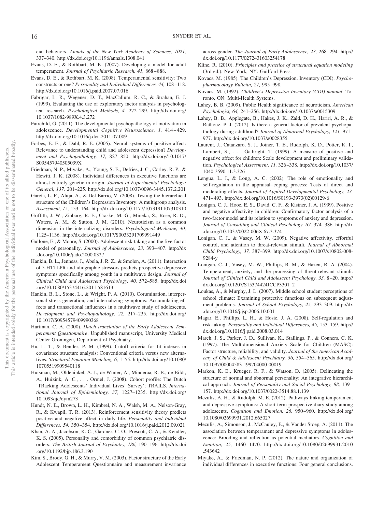cial behaviors. *Annals of the New York Academy of Sciences, 1021,* 337–340. http://dx.doi.org/10.1196/annals.1308.041

- Evans, D. E., & Rothbart, M. K. (2007). Developing a model for adult temperament. *Journal of Psychiatric Research, 41,* 868 – 888.
- Evans, D. E., & Rothbart, M. K. (2008). Temperamental sensitivity: Two constructs or one? *Personality and Individual Differences, 44,* 108 –118. http://dx.doi.org/10.1016/j.paid.2007.07.016
- Fabrigar, L. R., Wegener, D. T., MacCallum, R. C., & Strahan, E. J. (1999). Evaluating the use of exploratory factor analysis in psychological research. *Psychological Methods, 4,* 272–299. http://dx.doi.org/ 10.1037/1082-989X.4.3.272
- Fairchild, G. (2011). The developmental psychopathology of motivation in adolescence. *Developmental Cognitive Neuroscience, 1,* 414 – 429. http://dx.doi.org/10.1016/j.dcn.2011.07.009
- Forbes, E. E., & Dahl, R. E. (2005). Neural systems of positive affect: Relevance to understanding child and adolescent depression? *Development and Psychopathology, 17,* 827– 850. http://dx.doi.org/10.1017/ S095457940505039X
- Friedman, N. P., Miyake, A., Young, S. E., Defries, J. C., Corley, R. P., & Hewitt, J. K. (2008). Individual differences in executive functions are almost entirely genetic in origin. *Journal of Experimental Psychology: General, 137,* 201–225. http://dx.doi.org/10.1037/0096-3445.137.2.201
- García, L. F., Aluja, A., & Del Barrio, V. (2008). Testing the hierarchical structure of the Children's Depression Inventory: A multigroup analysis. *Assessment, 15,* 153–164. http://dx.doi.org/10.1177/1073191107310310
- Griffith, J. W., Zinbarg, R. E., Craske, M. G., Mineka, S., Rose, R. D., Waters, A. M., & Sutton, J. M. (2010). Neuroticism as a common dimension in the internalizing disorders. *Psychological Medicine, 40,* 1125–1136. http://dx.doi.org/10.1017/S0033291709991449
- Gullone, E., & Moore, S. (2000). Adolescent risk-taking and the five-factor model of personality. *Journal of Adolescence, 23,* 393– 407. http://dx .doi.org/10.1006/jado.2000.0327
- Hankin, B. L., Jenness, J., Abela, J. R. Z., & Smolen, A. (2011). Interaction of 5-HTTLPR and idiographic stressors predicts prospective depressive symptoms specifically among youth in a multiwave design. *Journal of Clinical Child and Adolescent Psychology, 40,* 572–585. http://dx.doi .org/10.1080/15374416.2011.581613
- Hankin, B. L., Stone, L., & Wright, P. A. (2010). Corumination, interpersonal stress generation, and internalizing symptoms: Accumulating effects and transactional influences in a multiwave study of adolescents. *Development and Psychopathology, 22,* 217–235. http://dx.doi.org/ 10.1017/S0954579409990368
- Hartman, C. A. (2000). *Dutch translation of the Early Adolescent Temperament Questionnaire*. Unpublished manuscript, University Medical Center Groningen, Department of Psychiatry.
- Hu, L. T., & Bentler, P. M. (1999). Cutoff criteria for fit indexes in covariance structure analysis: Conventional criteria versus new alternatives. *Structural Equation Modeling, 6,* 1–55. http://dx.doi.org/10.1080/ 10705519909540118
- Huisman, M., Oldehinkel, A. J., de Winter, A., Minderaa, R. B., de Bildt, A., Huizink, A. C.,... Ormel, J. (2008). Cohort profile: The Dutch 'TRacking Adolescents' Individual Lives' Survey'; TRAILS. *International Journal of Epidemiology, 37,* 1227–1235. http://dx.doi.org/ 10.1093/ije/dym273
- Hundt, N. E., Brown, L. H., Kimbrel, N. A., Walsh, M. A., Nelson-Gray, R., & Kwapil, T. R. (2013). Reinforcement sensitivity theory predicts positive and negative affect in daily life. *Personality and Individual Differences, 54,* 350 –354. http://dx.doi.org/10.1016/j.paid.2012.09.021
- Khan, A. A., Jacobson, K. C., Gardner, C. O., Prescott, C. A., & Kendler, K. S. (2005). Personality and comorbidity of common psychiatric disorders. *The British Journal of Psychiatry, 186,* 190 –196. http://dx.doi .org/10.1192/bjp.186.3.190
- Kim, S., Brody, G. H., & Murry, V. M. (2003). Factor structure of the Early Adolescent Temperament Questionnaire and measurement invariance

across gender. *The Journal of Early Adolescence, 23,* 268 –294. http:// dx.doi.org/10.1177/0272431603254178

- Kline, R. (2010). *Principles and practice of structural equation modeling* (3rd ed.). New York, NY: Guilford Press.
- Kovacs, M. (1985). The Children's Depression, Inventory (CDI). *Psychopharmacology Bulletin, 21,* 995–998.
- Kovacs, M. (1992). *Children's Depression Inventory (CDI) manual*. Toronto, ON: Multi-Health Systems.
- Lahey, B. B. (2009). Public Health significance of neuroticism. *American Psychologist, 64,* 241–256. http://dx.doi.org/10.1037/a0015309
- Lahey, B. B., Applegate, B., Hakes, J. K., Zald, D. H., Hariri, A. R., & Rathouz, P. J. (2012). Is there a general factor of prevalent psychopathology during adulthood? *Journal of Abnormal Psychology, 121,* 971– 977. http://dx.doi.org/10.1037/a0028355
- Laurent, J., Catanzaro, S. J., Joiner, T. E., Rudolph, K. D., Potter, K. I., Lambert, S., ... Gathright, T. (1999). A measure of positive and negative affect for children: Scale development and preliminary validation. *Psychological Assessment, 11,* 326 –338. http://dx.doi.org/10.1037/ 1040-3590.11.3.326
- Lengua, L. J., & Long, A. C. (2002). The role of emotionality and self-regulation in the appraisal– coping process: Tests of direct and moderating effects. *Journal of Applied Developmental Psychology, 23,* 471– 493. http://dx.doi.org/10.1016/S0193-3973(02)00129-6
- Lonigan, C. J., Hooe, E. S., David, C. F., & Kistner, J. A. (1999). Positive and negative affectivity in children: Confirmatory factor analysis of a two-factor model and its relation to symptoms of anxiety and depression. *Journal of Consulting and Clinical Psychology, 67,* 374 –386. http://dx .doi.org/10.1037/0022-006X.67.3.374
- Lonigan, C. J., & Vasey, M. W. (2009). Negative affectivity, effortful control, and attention to threat-relevant stimuli. *Journal of Abnormal Child Psychology, 37,* 387–399. http://dx.doi.org/10.1007/s10802-008- 9284-y
- Lonigan, C. J., Vasey, M. W., Phillips, B. M., & Hazen, R. A. (2004). Temperament, anxiety, and the processing of threat-relevant stimuli. *Journal of Clinical Child and Adolescent Psychology, 33,* 8 –20. http:// dx.doi.org/10.1207/S15374424JCCP3301\_2
- Loukas, A., & Murphy, J. L. (2007). Middle school student perceptions of school climate: Examining protective functions on subsequent adjustment problems. *Journal of School Psychology, 45,* 293–309. http://dx .doi.org/10.1016/j.jsp.2006.10.001
- Magar, E., Phillips, L. H., & Hosie, J. A. (2008). Self-regulation and risk-taking. *Personality and Individual Differences, 45,* 153–159. http:// dx.doi.org/10.1016/j.paid.2008.03.014
- March, J. S., Parker, J. D., Sullivan, K., Stallings, P., & Conners, C. K. (1997). The Multidimensional Anxiety Scale for Children (MASC): Factor structure, reliability, and validity. *Journal of the American Academy of Child & Adolescent Psychiatry, 36,* 554 –565. http://dx.doi.org/ 10.1097/00004583-199704000-00019
- Markon, K. E., Krueger, R. F., & Watson, D. (2005). Delineating the structure of normal and abnormal personality: An integrative hierarchical approach. *Journal of Personality and Social Psychology, 88,* 139 – 157. http://dx.doi.org/10.1037/0022-3514.88.1.139
- Mezulis, A. H., & Rudolph, M. E. (2012). Pathways linking temperament and depressive symptoms: A short-term prospective diary study among adolescents. *Cognition and Emotion, 26,* 950 –960. http://dx.doi.org/ 10.1080/02699931.2012.665027
- Mezulis, A., Simonson, J., McCauley, E., & Vander Stoep, A. (2011). The association between temperament and depressive symptoms in adolescence: Brooding and reflection as potential mediators. *Cognition and Emotion, 25,* 1460 –1470. http://dx.doi.org/10.1080/02699931.2010 .543642
- Miyake, A., & Friedman, N. P. (2012). The nature and organization of individual differences in executive functions: Four general conclusions.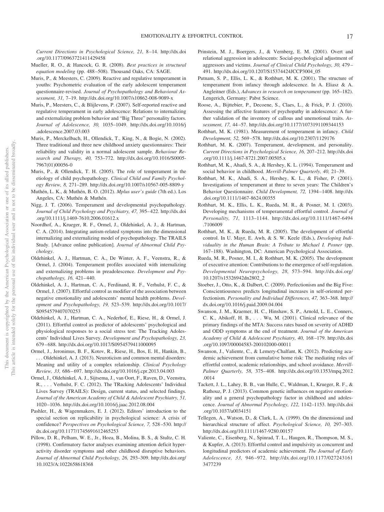*Current Directions in Psychological Science, 21,* 8 –14. http://dx.doi .org/10.1177/0963721411429458

- Mueller, R. O., & Hancock, G. R. (2008). *Best practices in structural equation modeling* (pp. 488 –508). Thousand Oaks, CA: SAGE.
- Muris, P., & Meesters, C. (2009). Reactive and regulative temperament in youths: Psychometric evaluation of the early adolescent temperament questionnaire-revised. *Journal of Psychopathology and Behavioral Assessment, 31,* 7–19. http://dx.doi.org/10.1007/s10862-008-9089-x
- Muris, P., Meesters, C., & Blijlevens, P. (2007). Self-reported reactive and regulative temperament in early adolescence: Relations to internalizing and externalizing problem behavior and "Big Three" personality factors. *Journal of Adolescence, 30,* 1035–1049. http://dx.doi.org/10.1016/j .adolescence.2007.03.003
- Muris, P., Merckelbach, H., Ollendick, T., King, N., & Bogie, N. (2002). Three traditional and three new childhood anxiety questionnaires: Their reliability and validity in a normal adolescent sample. *Behaviour Research and Therapy, 40,* 753–772. http://dx.doi.org/10.1016/S0005- 7967(01)00056-0
- Muris, P., & Ollendick, T. H. (2005). The role of temperament in the etiology of child psychopathology. *Clinical Child and Family Psychology Review, 8,* 271–289. http://dx.doi.org/10.1007/s10567-005-8809-y
- Muthén, L. K., & Muthén, B. O. (2012). *Mplus user's guide* (7th ed.). Los Angeles, CA: Muthén & Muthén.
- Nigg, J. T. (2006). Temperament and developmental psychopathology. *Journal of Child Psychology and Psychiatry, 47,* 395– 422. http://dx.doi .org/10.1111/j.1469-7610.2006.01612.x
- Noordhof, A., Krueger, R. F., Ormel, J., Oldehinkel, A. J., & Hartman, C. A. (2014). Integrating autism-related symptoms into the dimensional internalizing and externalizing model of psychopathology. The TRAILS Study. [Advance online publication]. *Journal of Abnormal Child Psychology*.
- Oldehinkel, A. J., Hartman, C. A., De Winter, A. F., Veenstra, R., & Ormel, J. (2004). Temperament profiles associated with internalizing and externalizing problems in preadolescence. *Development and Psychopathology, 16,* 421– 440.
- Oldehinkel, A. J., Hartman, C. A., Ferdinand, R. F., Verhulst, F. C., & Ormel, J. (2007). Effortful control as modifier of the association between negative emotionality and adolescents' mental health problems. *Development and Psychopathology, 19,* 523–539. http://dx.doi.org/10.1017/ S0954579407070253
- Oldehinkel, A. J., Hartman, C. A., Nederhof, E., Riese, H., & Ormel, J. (2011). Effortful control as predictor of adolescents' psychological and physiological responses to a social stress test: The Tracking Adolescents' Individual Lives Survey. *Development and Psychopathology, 23,* 679 – 688. http://dx.doi.org/10.1017/S0954579411000095
- Ormel, J., Jeronimus, B. F., Kotov, R., Riese, H., Bos, E. H., Hankin, B., . . . Oldehinkel, A. J. (2013). Neuroticism and common mental disorders: Meaning and utility of a complex relationship. *Clinical Psychology Review, 33,* 686 – 697. http://dx.doi.org/10.1016/j.cpr.2013.04.003
- Ormel, J., Oldehinkel, A. J., Sijtsema, J., van Oort, F., Raven, D., Veenstra, R., . . . Verhulst, F. C. (2012). The TRacking Adolescents' Individual Lives Survey (TRAILS): Design, current status, and selected findings. *Journal of the American Academy of Child & Adolescent Psychiatry, 51,* 1020 –1036. http://dx.doi.org/10.1016/j.jaac.2012.08.004
- Pashler, H., & Wagenmakers, E. J. (2012). Editors' introduction to the special section on replicability in psychological science: A crisis of confidence? *Perspectives on Psychological Science, 7,* 528 –530. http:// dx.doi.org/10.1177/1745691612465253
- Pillow, D. R., Pelham, W. E., Jr., Hoza, B., Molina, B. S., & Stultz, C. H. (1998). Confirmatory factor analyses examining attention deficit hyperactivity disorder symptoms and other childhood disruptive behaviors. *Journal of Abnormal Child Psychology, 26,* 293–309. http://dx.doi.org/ 10.1023/A:1022658618368
- Prinstein, M. J., Boergers, J., & Vernberg, E. M. (2001). Overt and relational aggression in adolescents: Social-psychological adjustment of aggressors and victims. *Journal of Clinical Child Psychology, 30,* 479 – 491. http://dx.doi.org/10.1207/S15374424JCCP3004\_05
- Putnam, S. P., Ellis, L. K., & Rothbart, M. K. (2001). The structure of temperament from infancy through adolescence. In A. Eliasz & A. Angleitner (Eds.), *Advances in research on temperament* (pp. 165–182). Lengerich, Germany: Pabst Science.
- Roose, A., Bijttebier, P., Decoene, S., Claes, L., & Frick, P. J. (2010). Assessing the affective features of psychopathy in adolescence: A further validation of the inventory of callous and unemotional traits. *Assessment, 17,* 44 –57. http://dx.doi.org/10.1177/1073191109344153
- Rothbart, M. K. (1981). Measurement of temperament in infancy. *Child Development, 52,* 569 –578. http://dx.doi.org/10.2307/1129176
- Rothbart, M. K. (2007). Temperament, development, and personality. *Current Directions in Psychological Science, 16,* 207–212. http://dx.doi .org/10.1111/j.1467-8721.2007.00505.x
- Rothbart, M. K., Ahadi, S. A., & Hershey, K. L. (1994). Temperament and social behavior in childhood. *Merrill-Palmer Quarterly, 40,* 21–39.
- Rothbart, M. K., Ahadi, S. A., Hershey, K. L., & Fisher, P. (2001). Investigations of temperament at three to seven years: The Children's Behavior Questionnaire. *Child Development, 72,* 1394 –1408. http://dx .doi.org/10.1111/1467-8624.00355
- Rothbart, M. K., Ellis, L. K., Rueda, M. R., & Posner, M. I. (2003). Developing mechanisms of temperamental effortful control. *Journal of Personality, 71,* 1113–1144. http://dx.doi.org/10.1111/1467-6494 .7106009
- Rothbart, M. K., & Rueda, M. R. (2005). The development of effortful control. In U. Mayr, E. Awh, & S. W. Keele (Eds.), *Developing Individuality in the Human Brain: A Tribute to Michael I. Posner* (pp. 167–188). Washington, DC: American Psychological Association.
- Rueda, M. R., Posner, M. I., & Rothbart, M. K. (2005). The development of executive attention: Contributions to the emergence of self-regulation. *Developmental Neuropsychology, 28,* 573–594. http://dx.doi.org/ 10.1207/s15326942dn2802\_2
- Stoeber, J., Otto, K., & Dalbert, C. (2009). Perfectionism and the Big Five: Conscientiousness predicts longitudinal increases in self-oriented perfectionism. *Personality and Individual Differences, 47,* 363–368. http:// dx.doi.org/10.1016/j.paid.2009.04.004
- Swanson, J. M., Kraemer, H. C., Hinshaw, S. P., Arnold, L. E., Conners, C. K., Abikoff, H. B., . . . Wu, M. (2001). Clinical relevance of the primary findings of the MTA: Success rates based on severity of ADHD and ODD symptoms at the end of treatment. *Journal of the American Academy of Child & Adolescent Psychiatry, 40,* 168 –179. http://dx.doi .org/10.1097/00004583-200102000-00011
- Swanson, J., Valiente, C., & Lemery-Chalfant, K. (2012). Predicting academic achievement from cumulative home risk: The mediating roles of effortful control, academic relationships, and school avoidance. *Merrill-Palmer Quarterly, 58,* 375– 408. http://dx.doi.org/10.1353/mpq.2012 .0014
- Tackett, J. L., Lahey, B. B., van Hulle, C., Waldman, I., Krueger, R. F., & Rathouz, P. J. (2013). Common genetic influences on negative emotionality and a general psychopathology factor in childhood and adolescence. *Journal of Abnormal Psychology, 122,* 1142–1153. http://dx.doi .org/10.1037/a0034151
- Tellegen, A., Watson, D., & Clark, L. A. (1999). On the dimensional and hierarchical structure of affect. *Psychological Science, 10,* 297–303. http://dx.doi.org/10.1111/1467-9280.00157
- Valiente, C., Eisenberg, N., Spinrad, T. L., Haugen, R., Thompson, M. S., & Kupfer, A. (2013). Effortful control and impulsivity as concurrent and longitudinal predictors of academic achievement. *The Journal of Early Adolescence, 33,* 946 –972. http://dx.doi.org/10.1177/027243161 3477239